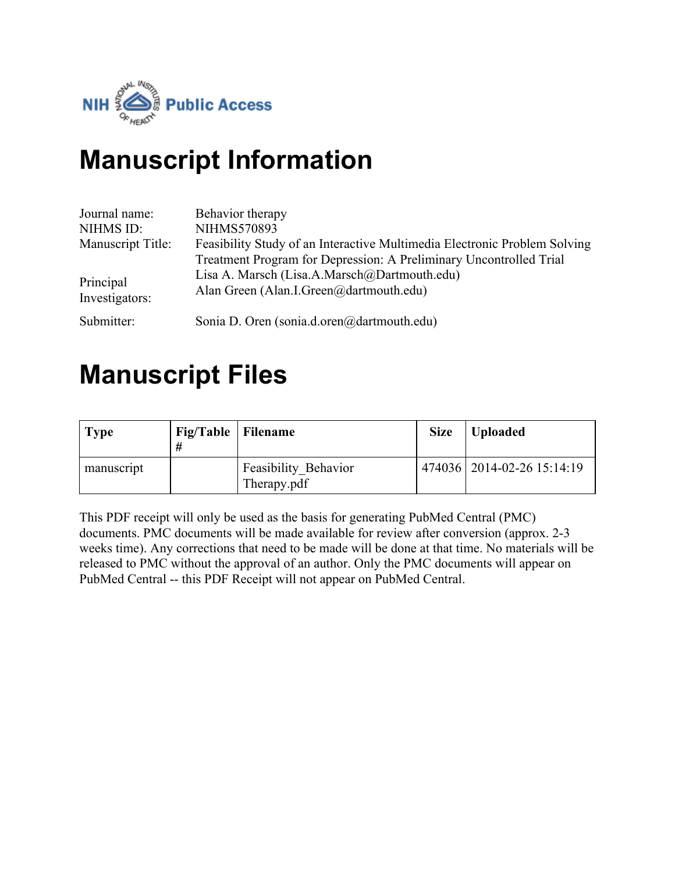

# **Manuscript Information**

| Journal name:     | Behavior therapy                                                                                                                                |
|-------------------|-------------------------------------------------------------------------------------------------------------------------------------------------|
| NIHMS ID:         | <b>NIHMS570893</b>                                                                                                                              |
| Manuscript Title: | Feasibility Study of an Interactive Multimedia Electronic Problem Solving<br>Treatment Program for Depression: A Preliminary Uncontrolled Trial |
| Principal         | Lisa A. Marsch (Lisa.A.Marsch@Dartmouth.edu)                                                                                                    |
| Investigators:    | Alan Green (Alan.I.Green@dartmouth.edu)                                                                                                         |
| Submitter:        | Sonia D. Oren (sonia.d.oren@dartmouth.edu)                                                                                                      |

## **Manuscript Files**

| <b>Type</b> | Fig/Table   Filename<br># |                                     | <b>Size</b> | Uploaded                     |
|-------------|---------------------------|-------------------------------------|-------------|------------------------------|
| manuscript  |                           | Feasibility Behavior<br>Therapy.pdf |             | 474036   2014-02-26 15:14:19 |

This PDF receipt will only be used as the basis for generating PubMed Central (PMC) documents. PMC documents will be made available for review after conversion (approx. 2-3 weeks time). Any corrections that need to be made will be done at that time. No materials will be released to PMC without the approval of an author. Only the PMC documents will appear on PubMed Central -- this PDF Receipt will not appear on PubMed Central.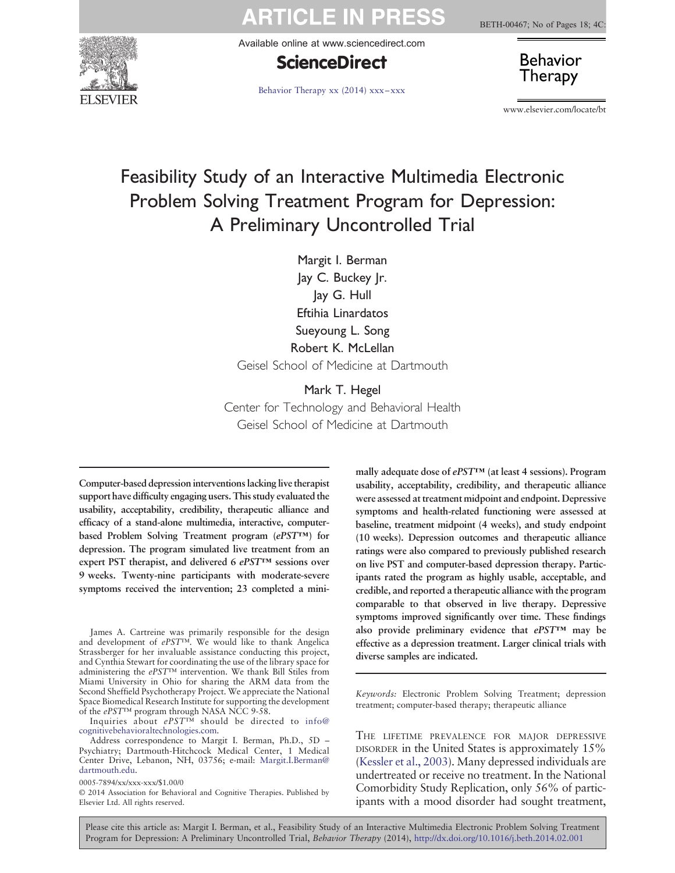

Available online at www.sciencedirect.com

### **ScienceDirect**

[Behavior Therapy xx \(2014\) xxx](http://dx.doi.org/)–xxx

BETH-00467; No of Pages 18; 4C:

**Behavior** Therapy

www.elsevier.com/locate/bt

### Feasibility Study of an Interactive Multimedia Electronic Problem Solving Treatment Program for Depression: A Preliminary Uncontrolled Trial

Margit I. Berman Jay C. Buckey Jr. Jay G. Hull Eftihia Linardatos Sueyoung L. Song Robert K. McLellan Geisel School of Medicine at Dartmouth

Mark T. Hegel

Center for Technology and Behavioral Health Geisel School of Medicine at Dartmouth

Computer-based depression interventions lacking live therapist support have difficulty engaging users. This study evaluated the usability, acceptability, credibility, therapeutic alliance and efficacy of a stand-alone multimedia, interactive, computerbased Problem Solving Treatment program (ePST™) for depression. The program simulated live treatment from an expert PST therapist, and delivered 6 ePST™ sessions over 9 weeks. Twenty-nine participants with moderate-severe symptoms received the intervention; 23 completed a mini-

James A. Cartreine was primarily responsible for the design and development of ePST™. We would like to thank Angelica Strassberger for her invaluable assistance conducting this project, and Cynthia Stewart for coordinating the use of the library space for administering the ePST™ intervention. We thank Bill Stiles from Miami University in Ohio for sharing the ARM data from the Second Sheffield Psychotherapy Project. We appreciate the National Space Biomedical Research Institute for supporting the development of the ePST™ program through NASA NCC 9-58.

Inquiries about ePST™ should be directed to [info@](mailto:info@cognitivebehavioraltechnologies.com) [cognitivebehavioraltechnologies.com.](mailto:info@cognitivebehavioraltechnologies.com)

Address correspondence to Margit I. Berman, Ph.D., 5D – Psychiatry; Dartmouth-Hitchcock Medical Center, 1 Medical Center Drive, Lebanon, NH, 03756; e-mail: [Margit.I.Berman@](mailto:Margit.I.Berman@dartmouth.edu) [dartmouth.edu](mailto:Margit.I.Berman@dartmouth.edu).

0005-7894/xx/xxx-xxx/\$1.00/0

© 2014 Association for Behavioral and Cognitive Therapies. Published by Elsevier Ltd. All rights reserved.

mally adequate dose of ePST™ (at least 4 sessions). Program usability, acceptability, credibility, and therapeutic alliance were assessed at treatment midpoint and endpoint. Depressive symptoms and health-related functioning were assessed at baseline, treatment midpoint (4 weeks), and study endpoint (10 weeks). Depression outcomes and therapeutic alliance ratings were also compared to previously published research on live PST and computer-based depression therapy. Participants rated the program as highly usable, acceptable, and credible, and reported a therapeutic alliance with the program comparable to that observed in live therapy. Depressive symptoms improved significantly over time. These findings also provide preliminary evidence that ePST™ may be effective as a depression treatment. Larger clinical trials with diverse samples are indicated.

Keywords: Electronic Problem Solving Treatment; depression treatment; computer-based therapy; therapeutic alliance

THE LIFETIME PREVALENCE FOR MAJOR DEPRESSIVE DISORDER in the United States is approximately 15% [\(Kessler et al., 2003](#page-17-0)). Many depressed individuals are undertreated or receive no treatment. In the National Comorbidity Study Replication, only 56% of participants with a mood disorder had sought treatment,

Please cite this article as: Margit I. Berman, et al., Feasibility Study of an Interactive Multimedia Electronic Problem Solving Treatment Program for Depression: A Preliminary Uncontrolled Trial, Behavior Therapy (2014), <http://dx.doi.org/10.1016/j.beth.2014.02.001>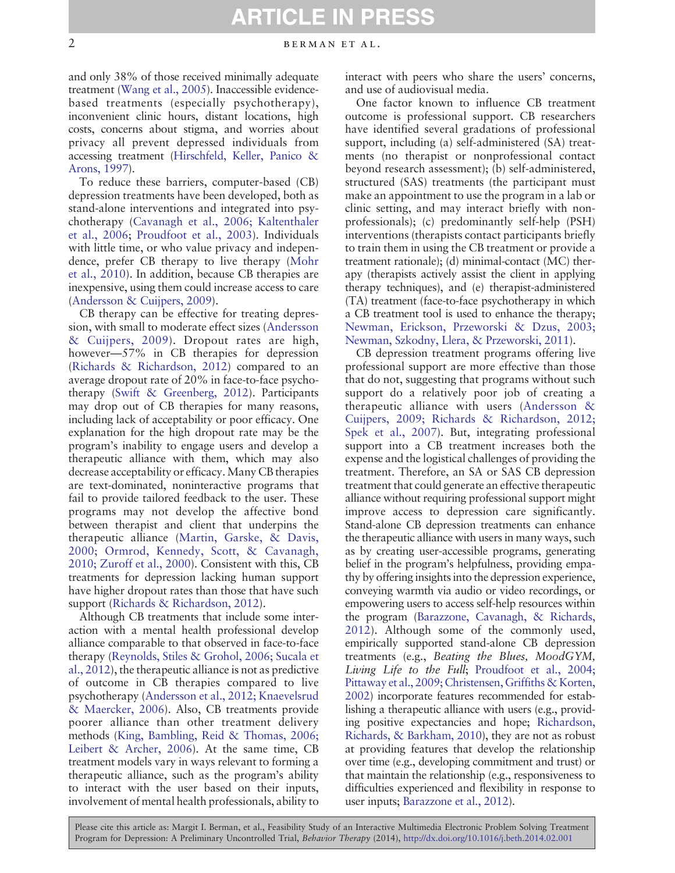#### 2 **berman et al. berman et al.**

and only 38% of those received minimally adequate treatment ([Wang et al., 2005](#page-18-0)). Inaccessible evidencebased treatments (especially psychotherapy), inconvenient clinic hours, distant locations, high costs, concerns about stigma, and worries about privacy all prevent depressed individuals from accessing treatment ([Hirschfeld, Keller, Panico &](#page-17-0) [Arons, 1997](#page-17-0)).

To reduce these barriers, computer-based (CB) depression treatments have been developed, both as stand-alone interventions and integrated into psychotherapy ([Cavanagh et al., 2006; Kaltenthaler](#page-16-0) [et al., 2006](#page-16-0); [Proudfoot et al., 2003\)](#page-18-0). Individuals with little time, or who value privacy and independence, prefer CB therapy to live therapy [\(Mohr](#page-17-0) [et al., 2010](#page-17-0)). In addition, because CB therapies are inexpensive, using them could increase access to care [\(Andersson & Cuijpers, 2009](#page-16-0)).

CB therapy can be effective for treating depression, with small to moderate effect sizes ([Andersson](#page-16-0) [& Cuijpers, 2009](#page-16-0)). Dropout rates are high, however—57% in CB therapies for depression [\(Richards & Richardson, 2012](#page-18-0)) compared to an average dropout rate of 20% in face-to-face psychotherapy ([Swift & Greenberg, 2012\)](#page-18-0). Participants may drop out of CB therapies for many reasons, including lack of acceptability or poor efficacy. One explanation for the high dropout rate may be the program's inability to engage users and develop a therapeutic alliance with them, which may also decrease acceptability or efficacy.Many CB therapies are text-dominated, noninteractive programs that fail to provide tailored feedback to the user. These programs may not develop the affective bond between therapist and client that underpins the therapeutic alliance [\(Martin, Garske, & Davis,](#page-17-0) [2000; Ormrod, Kennedy, Scott, & Cavanagh,](#page-17-0) [2010; Zuroff et al., 2000\)](#page-17-0). Consistent with this, CB treatments for depression lacking human support have higher dropout rates than those that have such support [\(Richards & Richardson, 2012](#page-18-0)).

Although CB treatments that include some interaction with a mental health professional develop alliance comparable to that observed in face-to-face therapy [\(Reynolds, Stiles & Grohol, 2006; Sucala et](#page-18-0) [al., 2012](#page-18-0)), the therapeutic alliance is not as predictive of outcome in CB therapies compared to live psychotherapy ([Andersson et al., 2012; Knaevelsrud](#page-16-0) [& Maercker, 2006\)](#page-16-0). Also, CB treatments provide poorer alliance than other treatment delivery methods ([King, Bambling, Reid & Thomas, 2006;](#page-17-0) [Leibert & Archer, 2006](#page-17-0)). At the same time, CB treatment models vary in ways relevant to forming a therapeutic alliance, such as the program's ability to interact with the user based on their inputs, involvement of mental health professionals, ability to

interact with peers who share the users' concerns, and use of audiovisual media.

One factor known to influence CB treatment outcome is professional support. CB researchers have identified several gradations of professional support, including (a) self-administered (SA) treatments (no therapist or nonprofessional contact beyond research assessment); (b) self-administered, structured (SAS) treatments (the participant must make an appointment to use the program in a lab or clinic setting, and may interact briefly with nonprofessionals); (c) predominantly self-help (PSH) interventions (therapists contact participants briefly to train them in using the CB treatment or provide a treatment rationale); (d) minimal-contact (MC) therapy (therapists actively assist the client in applying therapy techniques), and (e) therapist-administered (TA) treatment (face-to-face psychotherapy in which a CB treatment tool is used to enhance the therapy; [Newman, Erickson, Przeworski & Dzus, 2003;](#page-17-0) [Newman, Szkodny, Llera, & Przeworski, 2011](#page-17-0)).

CB depression treatment programs offering live professional support are more effective than those that do not, suggesting that programs without such support do a relatively poor job of creating a therapeutic alliance with users ([Andersson &](#page-16-0) [Cuijpers, 2009; Richards & Richardson, 2012;](#page-16-0) [Spek et al., 2007](#page-16-0)). But, integrating professional support into a CB treatment increases both the expense and the logistical challenges of providing the treatment. Therefore, an SA or SAS CB depression treatment that could generate an effective therapeutic alliance without requiring professional support might improve access to depression care significantly. Stand-alone CB depression treatments can enhance the therapeutic alliance with users in many ways, such as by creating user-accessible programs, generating belief in the program's helpfulness, providing empathy by offering insights into the depression experience, conveying warmth via audio or video recordings, or empowering users to access self-help resources within the program ([Barazzone, Cavanagh, & Richards,](#page-16-0) [2012](#page-16-0)). Although some of the commonly used, empirically supported stand-alone CB depression treatments (e.g., Beating the Blues, MoodGYM, Living Life to the Full; [Proudfoot et al., 2004;](#page-18-0) Pittaway et al., 2009; Christensen, Griffiths & Korten, [2002](#page-18-0)) incorporate features recommended for establishing a therapeutic alliance with users (e.g., providing positive expectancies and hope; [Richardson,](#page-18-0) [Richards, & Barkham, 2010](#page-18-0)), they are not as robust at providing features that develop the relationship over time (e.g., developing commitment and trust) or that maintain the relationship (e.g., responsiveness to difficulties experienced and flexibility in response to user inputs; [Barazzone et al., 2012](#page-16-0)).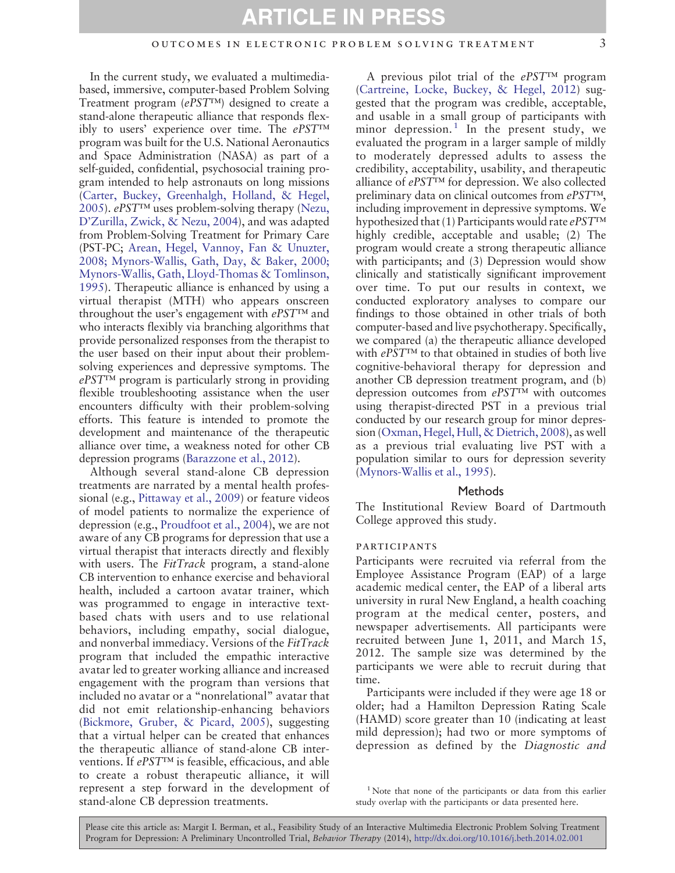#### outcomes in electronic problem solving treatment 3

In the current study, we evaluated a multimediabased, immersive, computer-based Problem Solving Treatment program (ePST<sup>TM</sup>) designed to create a stand-alone therapeutic alliance that responds flexibly to users' experience over time. The ePST™ program was built for the U.S. National Aeronautics and Space Administration (NASA) as part of a self-guided, confidential, psychosocial training program intended to help astronauts on long missions [\(Carter, Buckey, Greenhalgh, Holland, & Hegel,](#page-16-0) [2005](#page-16-0)). ePST™ uses problem-solving therapy ([Nezu,](#page-17-0) D'[Zurilla, Zwick, & Nezu, 2004\)](#page-17-0), and was adapted from Problem-Solving Treatment for Primary Care (PST-PC; [Arean, Hegel, Vannoy, Fan & Unuzter,](#page-16-0) [2008; Mynors-Wallis, Gath, Day, & Baker, 2000;](#page-16-0) [Mynors-Wallis, Gath, Lloyd-Thomas & Tomlinson,](#page-16-0) [1995](#page-16-0)). Therapeutic alliance is enhanced by using a virtual therapist (MTH) who appears onscreen throughout the user's engagement with ePST™ and who interacts flexibly via branching algorithms that provide personalized responses from the therapist to the user based on their input about their problemsolving experiences and depressive symptoms. The ePST™ program is particularly strong in providing flexible troubleshooting assistance when the user encounters difficulty with their problem-solving efforts. This feature is intended to promote the development and maintenance of the therapeutic alliance over time, a weakness noted for other CB depression programs ([Barazzone et al., 2012](#page-16-0)).

Although several stand-alone CB depression treatments are narrated by a mental health professional (e.g., [Pittaway et al., 2009\)](#page-17-0) or feature videos of model patients to normalize the experience of depression (e.g., [Proudfoot et al., 2004\)](#page-18-0), we are not aware of any CB programs for depression that use a virtual therapist that interacts directly and flexibly with users. The *FitTrack* program, a stand-alone CB intervention to enhance exercise and behavioral health, included a cartoon avatar trainer, which was programmed to engage in interactive textbased chats with users and to use relational behaviors, including empathy, social dialogue, and nonverbal immediacy. Versions of the FitTrack program that included the empathic interactive avatar led to greater working alliance and increased engagement with the program than versions that included no avatar or a "nonrelational" avatar that did not emit relationship-enhancing behaviors [\(Bickmore, Gruber, & Picard, 2005](#page-16-0)), suggesting that a virtual helper can be created that enhances the therapeutic alliance of stand-alone CB interventions. If ePST™ is feasible, efficacious, and able to create a robust therapeutic alliance, it will represent a step forward in the development of stand-alone CB depression treatments.

A previous pilot trial of the  $ePST<sup>TM</sup>$  program [\(Cartreine, Locke, Buckey, & Hegel, 2012](#page-16-0)) suggested that the program was credible, acceptable, and usable in a small group of participants with minor depression.<sup>1</sup> In the present study, we evaluated the program in a larger sample of mildly to moderately depressed adults to assess the credibility, acceptability, usability, and therapeutic alliance of ePST™ for depression. We also collected preliminary data on clinical outcomes from ePST™, including improvement in depressive symptoms. We hypothesized that (1) Participants would rate  $ePST^{\text{TM}}$ highly credible, acceptable and usable; (2) The program would create a strong therapeutic alliance with participants; and (3) Depression would show clinically and statistically significant improvement over time. To put our results in context, we conducted exploratory analyses to compare our findings to those obtained in other trials of both computer-based and live psychotherapy. Specifically, we compared (a) the therapeutic alliance developed with ePST™ to that obtained in studies of both live cognitive-behavioral therapy for depression and another CB depression treatment program, and (b) depression outcomes from ePST™ with outcomes using therapist-directed PST in a previous trial conducted by our research group for minor depression [\(Oxman, Hegel, Hull, & Dietrich, 2008](#page-17-0)), as well as a previous trial evaluating live PST with a population similar to ours for depression severity [\(Mynors-Wallis et al., 1995](#page-17-0)).

#### **Methods**

The Institutional Review Board of Dartmouth College approved this study.

#### participants

Participants were recruited via referral from the Employee Assistance Program (EAP) of a large academic medical center, the EAP of a liberal arts university in rural New England, a health coaching program at the medical center, posters, and newspaper advertisements. All participants were recruited between June 1, 2011, and March 15, 2012. The sample size was determined by the participants we were able to recruit during that time.

Participants were included if they were age 18 or older; had a Hamilton Depression Rating Scale (HAMD) score greater than 10 (indicating at least mild depression); had two or more symptoms of depression as defined by the Diagnostic and

 $1$  Note that none of the participants or data from this earlier study overlap with the participants or data presented here.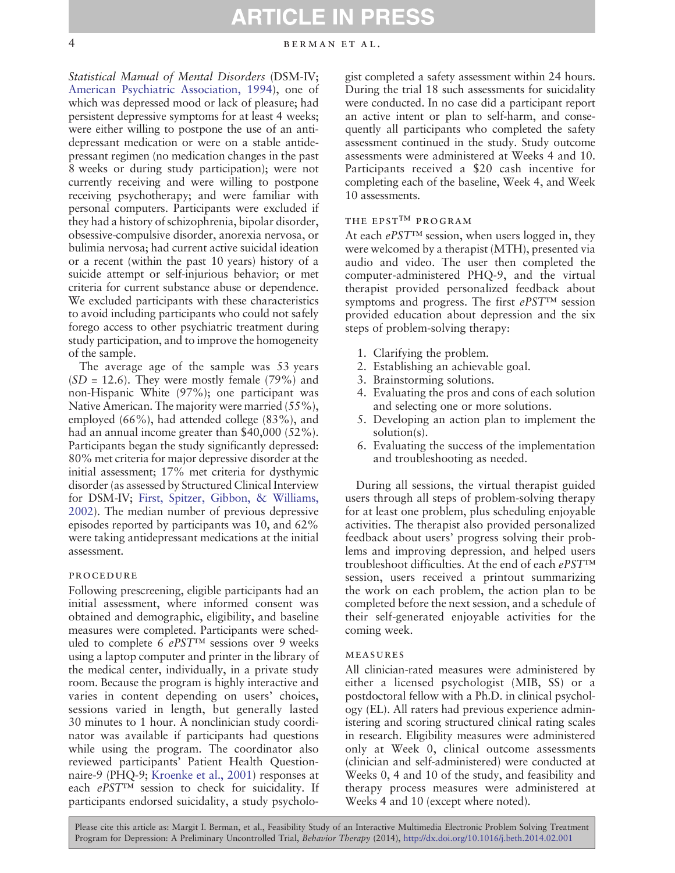#### 4 berman et al.

Statistical Manual of Mental Disorders (DSM-IV; [American Psychiatric Association, 1994](#page-16-0)), one of which was depressed mood or lack of pleasure; had persistent depressive symptoms for at least 4 weeks; were either willing to postpone the use of an antidepressant medication or were on a stable antidepressant regimen (no medication changes in the past 8 weeks or during study participation); were not currently receiving and were willing to postpone receiving psychotherapy; and were familiar with personal computers. Participants were excluded if they had a history of schizophrenia, bipolar disorder, obsessive-compulsive disorder, anorexia nervosa, or bulimia nervosa; had current active suicidal ideation or a recent (within the past 10 years) history of a suicide attempt or self-injurious behavior; or met criteria for current substance abuse or dependence. We excluded participants with these characteristics to avoid including participants who could not safely forego access to other psychiatric treatment during study participation, and to improve the homogeneity of the sample.

The average age of the sample was 53 years  $(SD = 12.6)$ . They were mostly female (79%) and non-Hispanic White (97%); one participant was Native American. The majority were married (55%), employed (66%), had attended college (83%), and had an annual income greater than \$40,000 (52%). Participants began the study significantly depressed: 80% met criteria for major depressive disorder at the initial assessment; 17% met criteria for dysthymic disorder (as assessed by Structured Clinical Interview for DSM-IV; [First, Spitzer, Gibbon, & Williams,](#page-16-0) [2002\)](#page-16-0). The median number of previous depressive episodes reported by participants was 10, and 62% were taking antidepressant medications at the initial assessment.

#### procedure

Following prescreening, eligible participants had an initial assessment, where informed consent was obtained and demographic, eligibility, and baseline measures were completed. Participants were scheduled to complete 6 ePST<sup>TM</sup> sessions over 9 weeks using a laptop computer and printer in the library of the medical center, individually, in a private study room. Because the program is highly interactive and varies in content depending on users' choices, sessions varied in length, but generally lasted 30 minutes to 1 hour. A nonclinician study coordinator was available if participants had questions while using the program. The coordinator also reviewed participants' Patient Health Questionnaire-9 (PHQ-9; [Kroenke et al., 2001\)](#page-17-0) responses at each ePST™ session to check for suicidality. If participants endorsed suicidality, a study psychologist completed a safety assessment within 24 hours. During the trial 18 such assessments for suicidality were conducted. In no case did a participant report an active intent or plan to self-harm, and consequently all participants who completed the safety assessment continued in the study. Study outcome assessments were administered at Weeks 4 and 10. Participants received a \$20 cash incentive for completing each of the baseline, Week 4, and Week 10 assessments.

#### the epst™ program

At each *ePST<sup>™</sup>* session, when users logged in, they were welcomed by a therapist (MTH), presented via audio and video. The user then completed the computer-administered PHQ-9, and the virtual therapist provided personalized feedback about symptoms and progress. The first ePST™ session provided education about depression and the six steps of problem-solving therapy:

- 1. Clarifying the problem.
- 2. Establishing an achievable goal.
- 3. Brainstorming solutions.
- 4. Evaluating the pros and cons of each solution and selecting one or more solutions.
- 5. Developing an action plan to implement the solution(s).
- 6. Evaluating the success of the implementation and troubleshooting as needed.

During all sessions, the virtual therapist guided users through all steps of problem-solving therapy for at least one problem, plus scheduling enjoyable activities. The therapist also provided personalized feedback about users' progress solving their problems and improving depression, and helped users troubleshoot difficulties. At the end of each ePST™ session, users received a printout summarizing the work on each problem, the action plan to be completed before the next session, and a schedule of their self-generated enjoyable activities for the coming week.

#### **MEASURES**

All clinician-rated measures were administered by either a licensed psychologist (MIB, SS) or a postdoctoral fellow with a Ph.D. in clinical psychology (EL). All raters had previous experience administering and scoring structured clinical rating scales in research. Eligibility measures were administered only at Week 0, clinical outcome assessments (clinician and self-administered) were conducted at Weeks 0, 4 and 10 of the study, and feasibility and therapy process measures were administered at Weeks 4 and 10 (except where noted).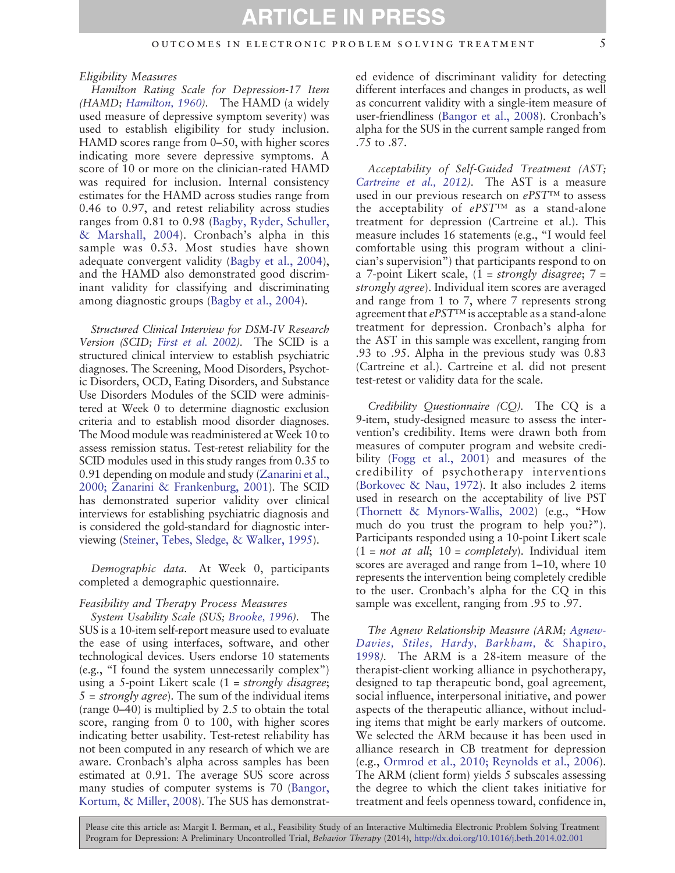#### Eligibility Measures

Hamilton Rating Scale for Depression-17 Item (HAMD; [Hamilton, 1960](#page-17-0)). The HAMD (a widely used measure of depressive symptom severity) was used to establish eligibility for study inclusion. HAMD scores range from 0–50, with higher scores indicating more severe depressive symptoms. A score of 10 or more on the clinician-rated HAMD was required for inclusion. Internal consistency estimates for the HAMD across studies range from 0.46 to 0.97, and retest reliability across studies ranges from 0.81 to 0.98 ([Bagby, Ryder, Schuller,](#page-16-0) [& Marshall, 2004\)](#page-16-0). Cronbach's alpha in this sample was 0.53. Most studies have shown adequate convergent validity ([Bagby et al., 2004\)](#page-16-0), and the HAMD also demonstrated good discriminant validity for classifying and discriminating among diagnostic groups [\(Bagby et al., 2004\)](#page-16-0).

Structured Clinical Interview for DSM-IV Research Version (SCID; [First et al. 2002\)](#page-16-0). The SCID is a structured clinical interview to establish psychiatric diagnoses. The Screening, Mood Disorders, Psychotic Disorders, OCD, Eating Disorders, and Substance Use Disorders Modules of the SCID were administered at Week 0 to determine diagnostic exclusion criteria and to establish mood disorder diagnoses. The Mood module was readministered at Week 10 to assess remission status. Test-retest reliability for the SCID modules used in this study ranges from 0.35 to 0.91 depending on module and study ([Zanarini et al.,](#page-18-0) [2000; Zanarini & Frankenburg, 2001\)](#page-18-0). The SCID has demonstrated superior validity over clinical interviews for establishing psychiatric diagnosis and is considered the gold-standard for diagnostic interviewing ([Steiner, Tebes, Sledge, & Walker, 1995\)](#page-18-0).

Demographic data. At Week 0, participants completed a demographic questionnaire.

#### Feasibility and Therapy Process Measures

System Usability Scale (SUS; [Brooke, 1996\)](#page-16-0). The SUS is a 10-item self-report measure used to evaluate the ease of using interfaces, software, and other technological devices. Users endorse 10 statements (e.g., "I found the system unnecessarily complex") using a 5-point Likert scale  $(1 = strongly \, disagree;$  $5 = strongly agree$ ). The sum of the individual items (range 0–40) is multiplied by 2.5 to obtain the total score, ranging from 0 to 100, with higher scores indicating better usability. Test-retest reliability has not been computed in any research of which we are aware. Cronbach's alpha across samples has been estimated at 0.91. The average SUS score across many studies of computer systems is 70 [\(Bangor,](#page-16-0) [Kortum, & Miller, 2008](#page-16-0)). The SUS has demonstrated evidence of discriminant validity for detecting different interfaces and changes in products, as well as concurrent validity with a single-item measure of user-friendliness [\(Bangor et al., 2008](#page-16-0)). Cronbach's alpha for the SUS in the current sample ranged from .75 to .87.

Acceptability of Self-Guided Treatment (AST; [Cartreine et al., 2012](#page-16-0)). The AST is a measure used in our previous research on ePST™ to assess the acceptability of  $ePST<sup>TM</sup>$  as a stand-alone treatment for depression (Cartreine et al.). This measure includes 16 statements (e.g., "I would feel comfortable using this program without a clinician's supervision") that participants respond to on a 7-point Likert scale,  $(1 = strongly disagree; 7 =$ strongly agree). Individual item scores are averaged and range from 1 to 7, where 7 represents strong agreement that  $ePST^{\text{TM}}$  is acceptable as a stand-alone treatment for depression. Cronbach's alpha for the AST in this sample was excellent, ranging from .93 to .95. Alpha in the previous study was 0.83 (Cartreine et al.). Cartreine et al. did not present test-retest or validity data for the scale.

Credibility Questionnaire (CQ). The CQ is a 9-item, study-designed measure to assess the intervention's credibility. Items were drawn both from measures of computer program and website credibility [\(Fogg et al., 2001\)](#page-16-0) and measures of the credibility of psychotherapy interventions [\(Borkovec & Nau, 1972\)](#page-16-0). It also includes 2 items used in research on the acceptability of live PST [\(Thornett & Mynors-Wallis, 2002\)](#page-18-0) (e.g., "How much do you trust the program to help you?"). Participants responded using a 10-point Likert scale  $(1 = not at all; 10 = completely)$ . Individual item scores are averaged and range from 1–10, where 10 represents the intervention being completely credible to the user. Cronbach's alpha for the CQ in this sample was excellent, ranging from .95 to .97.

The Agnew Relationship Measure (ARM; [Agnew-](#page-16-0)[Davies, Stiles, Hardy, Barkham,](#page-16-0) & Shapiro, [1998](#page-16-0)). The ARM is a 28-item measure of the therapist-client working alliance in psychotherapy, designed to tap therapeutic bond, goal agreement, social influence, interpersonal initiative, and power aspects of the therapeutic alliance, without including items that might be early markers of outcome. We selected the ARM because it has been used in alliance research in CB treatment for depression (e.g., [Ormrod et al., 2010; Reynolds et al., 2006\)](#page-17-0). The ARM (client form) yields 5 subscales assessing the degree to which the client takes initiative for treatment and feels openness toward, confidence in,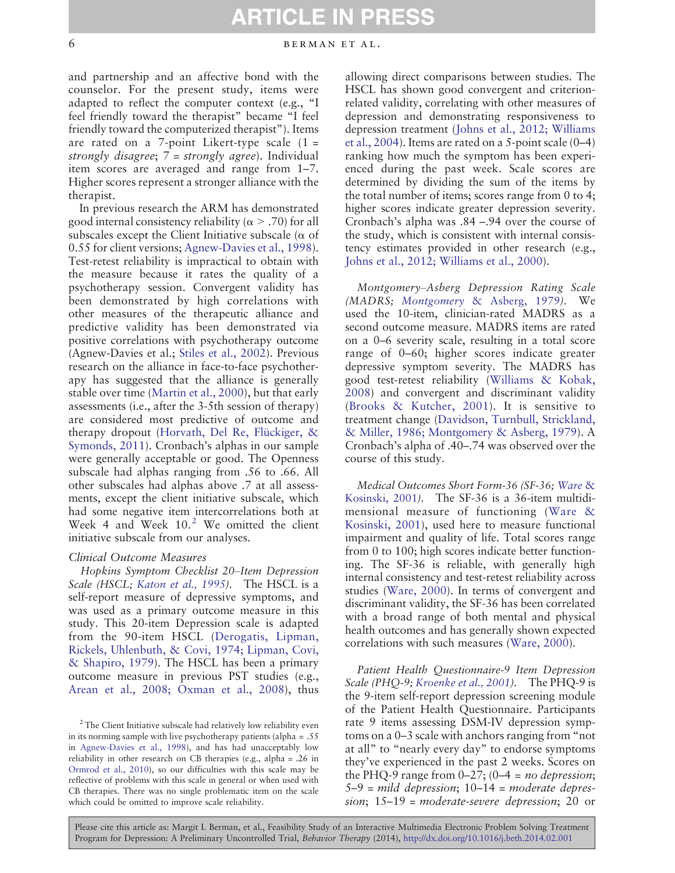#### $6$  berman et al.

and partnership and an affective bond with the counselor. For the present study, items were adapted to reflect the computer context (e.g., "I feel friendly toward the therapist" became "I feel friendly toward the computerized therapist"). Items are rated on a 7-point Likert-type scale  $(1 =$ strongly disagree;  $7 =$  strongly agree). Individual item scores are averaged and range from 1–7. Higher scores represent a stronger alliance with the therapist.

In previous research the ARM has demonstrated good internal consistency reliability ( $\alpha$  > .70) for all subscales except the Client Initiative subscale ( $\alpha$  of 0.55 for client versions; [Agnew-Davies et al., 1998](#page-16-0)). Test-retest reliability is impractical to obtain with the measure because it rates the quality of a psychotherapy session. Convergent validity has been demonstrated by high correlations with other measures of the therapeutic alliance and predictive validity has been demonstrated via positive correlations with psychotherapy outcome (Agnew-Davies et al.; [Stiles et al., 2002](#page-18-0)). Previous research on the alliance in face-to-face psychotherapy has suggested that the alliance is generally stable over time [\(Martin et al., 2000](#page-17-0)), but that early assessments (i.e., after the 3-5th session of therapy) are considered most predictive of outcome and therapy dropout [\(Horvath, Del Re, Flückiger, &](#page-17-0) [Symonds, 2011\)](#page-17-0). Cronbach's alphas in our sample were generally acceptable or good. The Openness subscale had alphas ranging from .56 to .66. All other subscales had alphas above .7 at all assessments, except the client initiative subscale, which had some negative item intercorrelations both at Week 4 and Week  $10<sup>2</sup>$  We omitted the client initiative subscale from our analyses.

#### Clinical Outcome Measures

Hopkins Symptom Checklist 20–Item Depression Scale (HSCL; [Katon et al., 1995\)](#page-17-0). The HSCL is a self-report measure of depressive symptoms, and was used as a primary outcome measure in this study. This 20-item Depression scale is adapted from the 90-item HSCL ([Derogatis, Lipman,](#page-16-0) [Rickels, Uhlenbuth, & Covi, 1974; Lipman, Covi,](#page-16-0) [& Shapiro, 1979\)](#page-16-0). The HSCL has been a primary outcome measure in previous PST studies (e.g., [Arean et al., 2008; Oxman et al., 2008](#page-16-0)), thus allowing direct comparisons between studies. The HSCL has shown good convergent and criterionrelated validity, correlating with other measures of depression and demonstrating responsiveness to depression treatment ([Johns et al., 2012; Williams](#page-17-0) [et al., 2004](#page-17-0)). Items are rated on a 5-point scale (0–4) ranking how much the symptom has been experienced during the past week. Scale scores are determined by dividing the sum of the items by the total number of items; scores range from 0 to 4; higher scores indicate greater depression severity. Cronbach's alpha was .84 –.94 over the course of the study, which is consistent with internal consistency estimates provided in other research (e.g., [Johns et al., 2012; Williams et al., 2000](#page-17-0)).

Montgomery–Asberg Depression Rating Scale (MADRS; Montgomery [& Asberg, 1979](#page-17-0)). We used the 10-item, clinician-rated MADRS as a second outcome measure. MADRS items are rated on a 0–6 severity scale, resulting in a total score range of 0–60; higher scores indicate greater depressive symptom severity. The MADRS has good test-retest reliability [\(Williams & Kobak,](#page-18-0) [2008](#page-18-0)) and convergent and discriminant validity ([Brooks & Kutcher, 2001\)](#page-16-0). It is sensitive to treatment change [\(Davidson, Turnbull, Strickland,](#page-16-0) [& Miller, 1986; Montgomery & Asberg, 1979](#page-16-0)). A Cronbach's alpha of .40–.74 was observed over the course of this study.

Medical Outcomes Short Form-36 (SF-36; [Ware](#page-18-0) & [Kosinski, 2001](#page-18-0)). The SF-36 is a 36-item multidimensional measure of functioning ([Ware &](#page-18-0) [Kosinski, 2001\)](#page-18-0), used here to measure functional impairment and quality of life. Total scores range from 0 to 100; high scores indicate better functioning. The SF-36 is reliable, with generally high internal consistency and test-retest reliability across studies ([Ware, 2000](#page-18-0)). In terms of convergent and discriminant validity, the SF-36 has been correlated with a broad range of both mental and physical health outcomes and has generally shown expected correlations with such measures ([Ware, 2000](#page-18-0)).

Patient Health Questionnaire-9 Item Depression Scale (PHQ-9; [Kroenke et al., 2001](#page-17-0)). The PHQ-9 is the 9-item self-report depression screening module of the Patient Health Questionnaire. Participants rate 9 items assessing DSM-IV depression symptoms on a 0–3 scale with anchors ranging from "not at all" to "nearly every day" to endorse symptoms they've experienced in the past 2 weeks. Scores on the PHQ-9 range from  $0-27$ ; ( $0-4 = no$  depression;  $5-9$  = mild depression;  $10-14$  = moderate depression; 15–19 = moderate-severe depression; 20 or

<sup>&</sup>lt;sup>2</sup> The Client Initiative subscale had relatively low reliability even in its norming sample with live psychotherapy patients (alpha = .55 in [Agnew-Davies et al., 1998\)](#page-16-0), and has had unacceptably low reliability in other research on CB therapies (e.g., alpha = .26 in [Ormrod et al., 2010\)](#page-17-0), so our difficulties with this scale may be reflective of problems with this scale in general or when used with CB therapies. There was no single problematic item on the scale which could be omitted to improve scale reliability.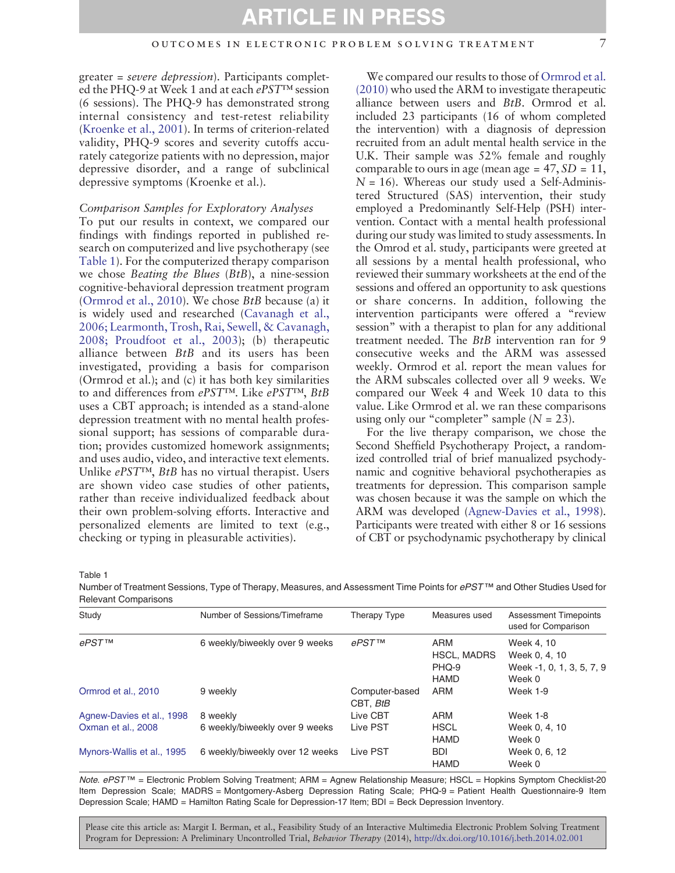greater = severe depression). Participants completed the PHQ-9 at Week 1 and at each ePST™ session (6 sessions). The PHQ-9 has demonstrated strong internal consistency and test-retest reliability [\(Kroenke et al., 2001\)](#page-17-0). In terms of criterion-related validity, PHQ-9 scores and severity cutoffs accurately categorize patients with no depression, major depressive disorder, and a range of subclinical depressive symptoms (Kroenke et al.).

#### Comparison Samples for Exploratory Analyses

To put our results in context, we compared our findings with findings reported in published research on computerized and live psychotherapy (see Table 1). For the computerized therapy comparison we chose Beating the Blues (BtB), a nine-session cognitive-behavioral depression treatment program [\(Ormrod et al., 2010](#page-17-0)). We chose BtB because (a) it is widely used and researched ([Cavanagh et al.,](#page-16-0) [2006; Learmonth, Trosh, Rai, Sewell, & Cavanagh,](#page-16-0) [2008; Proudfoot et al., 2003](#page-16-0)); (b) therapeutic alliance between BtB and its users has been investigated, providing a basis for comparison (Ormrod et al.); and (c) it has both key similarities to and differences from ePST™. Like ePST™, BtB uses a CBT approach; is intended as a stand-alone depression treatment with no mental health professional support; has sessions of comparable duration; provides customized homework assignments; and uses audio, video, and interactive text elements. Unlike ePST™, BtB has no virtual therapist. Users are shown video case studies of other patients, rather than receive individualized feedback about their own problem-solving efforts. Interactive and personalized elements are limited to text (e.g., checking or typing in pleasurable activities).

We compared our results to those of [Ormrod et al.](#page-17-0) [\(2010\)](#page-17-0) who used the ARM to investigate therapeutic alliance between users and BtB. Ormrod et al. included 23 participants (16 of whom completed the intervention) with a diagnosis of depression recruited from an adult mental health service in the U.K. Their sample was 52% female and roughly comparable to ours in age (mean age =  $47$ ,  $SD = 11$ ,  $N = 16$ ). Whereas our study used a Self-Administered Structured (SAS) intervention, their study employed a Predominantly Self-Help (PSH) intervention. Contact with a mental health professional during our study was limited to study assessments. In the Omrod et al. study, participants were greeted at all sessions by a mental health professional, who reviewed their summary worksheets at the end of the sessions and offered an opportunity to ask questions or share concerns. In addition, following the intervention participants were offered a "review session" with a therapist to plan for any additional treatment needed. The BtB intervention ran for 9 consecutive weeks and the ARM was assessed weekly. Ormrod et al. report the mean values for the ARM subscales collected over all 9 weeks. We compared our Week 4 and Week 10 data to this value. Like Ormrod et al. we ran these comparisons using only our "completer" sample  $(N = 23)$ .

For the live therapy comparison, we chose the Second Sheffield Psychotherapy Project, a randomized controlled trial of brief manualized psychodynamic and cognitive behavioral psychotherapies as treatments for depression. This comparison sample was chosen because it was the sample on which the ARM was developed ([Agnew-Davies et al., 1998\)](#page-16-0). Participants were treated with either 8 or 16 sessions of CBT or psychodynamic psychotherapy by clinical

Table 1

Number of Treatment Sessions, Type of Therapy, Measures, and Assessment Time Points for ePST™ and Other Studies Used for Relevant Comparisons

| Study                      | Number of Sessions/Timeframe    | Therapy Type               | Measures used                                            | <b>Assessment Timepoints</b><br>used for Comparison                |
|----------------------------|---------------------------------|----------------------------|----------------------------------------------------------|--------------------------------------------------------------------|
| $e$ PST <sub>IM</sub>      | 6 weekly/biweekly over 9 weeks  | $e$ PST <sub>IM</sub>      | <b>ARM</b><br><b>HSCL, MADRS</b><br>PHQ-9<br><b>HAMD</b> | Week 4, 10<br>Week 0, 4, 10<br>Week -1, 0, 1, 3, 5, 7, 9<br>Week 0 |
| Ormrod et al., 2010        | 9 weekly                        | Computer-based<br>CBT, BtB | <b>ARM</b>                                               | <b>Week 1-9</b>                                                    |
| Agnew-Davies et al., 1998  | 8 weekly                        | Live CBT                   | <b>ARM</b>                                               | Week 1-8                                                           |
| Oxman et al., 2008         | 6 weekly/biweekly over 9 weeks  | Live PST                   | <b>HSCL</b><br><b>HAMD</b>                               | Week 0, 4, 10<br>Week 0                                            |
| Mynors-Wallis et al., 1995 | 6 weekly/biweekly over 12 weeks | Live PST                   | <b>BDI</b><br><b>HAMD</b>                                | Week 0, 6, 12<br>Week 0                                            |

Note. ePST™ = Electronic Problem Solving Treatment; ARM = Agnew Relationship Measure; HSCL = Hopkins Symptom Checklist-20 Item Depression Scale; MADRS = Montgomery-Asberg Depression Rating Scale; PHQ-9 = Patient Health Questionnaire-9 Item Depression Scale; HAMD = Hamilton Rating Scale for Depression-17 Item; BDI = Beck Depression Inventory.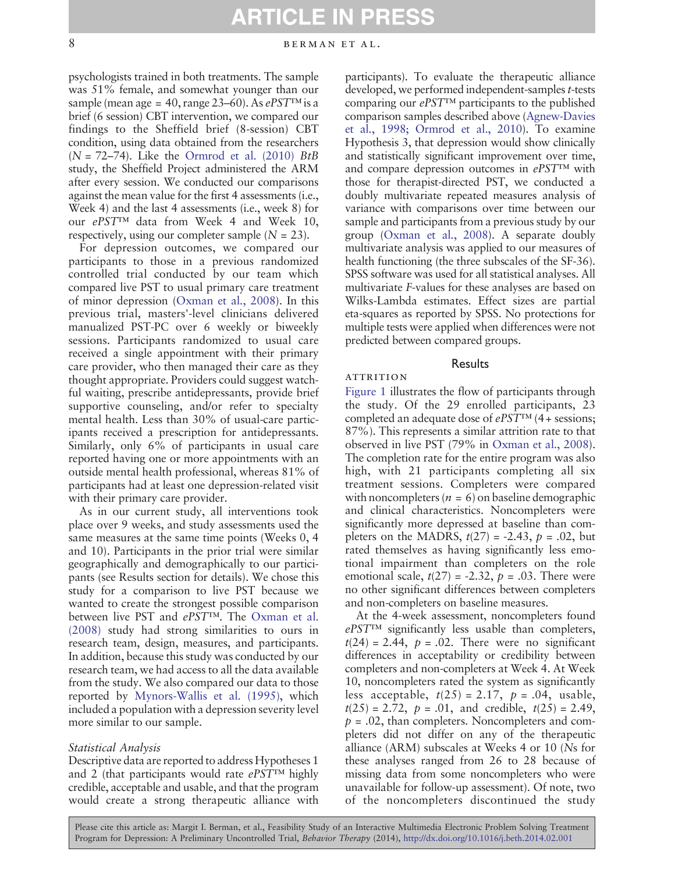#### 8 berman et al.

psychologists trained in both treatments. The sample was 51% female, and somewhat younger than our sample (mean age = 40, range  $23-60$ ). As  $ePST<sup>TM</sup>$  is a brief (6 session) CBT intervention, we compared our findings to the Sheffield brief (8-session) CBT condition, using data obtained from the researchers  $(N = 72-74)$ . Like the [Ormrod et al. \(2010\)](#page-17-0) BtB study, the Sheffield Project administered the ARM after every session. We conducted our comparisons against the mean value for the first 4 assessments (i.e., Week 4) and the last 4 assessments (i.e., week 8) for our ePST™ data from Week 4 and Week 10, respectively, using our completer sample  $(N = 23)$ .

For depression outcomes, we compared our participants to those in a previous randomized controlled trial conducted by our team which compared live PST to usual primary care treatment of minor depression ([Oxman et al., 2008\)](#page-17-0). In this previous trial, masters'-level clinicians delivered manualized PST-PC over 6 weekly or biweekly sessions. Participants randomized to usual care received a single appointment with their primary care provider, who then managed their care as they thought appropriate. Providers could suggest watchful waiting, prescribe antidepressants, provide brief supportive counseling, and/or refer to specialty mental health. Less than 30% of usual-care participants received a prescription for antidepressants. Similarly, only 6% of participants in usual care reported having one or more appointments with an outside mental health professional, whereas 81% of participants had at least one depression-related visit with their primary care provider.

As in our current study, all interventions took place over 9 weeks, and study assessments used the same measures at the same time points (Weeks 0, 4 and 10). Participants in the prior trial were similar geographically and demographically to our participants (see Results section for details). We chose this study for a comparison to live PST because we wanted to create the strongest possible comparison between live PST and ePST™. The [Oxman et al.](#page-17-0) [\(2008\)](#page-17-0) study had strong similarities to ours in research team, design, measures, and participants. In addition, because this study was conducted by our research team, we had access to all the data available from the study. We also compared our data to those reported by [Mynors-Wallis et al. \(1995\),](#page-17-0) which included a population with a depression severity level more similar to our sample.

#### Statistical Analysis

Descriptive data are reported to address Hypotheses 1 and 2 (that participants would rate  $ePST^{TM}$  highly credible, acceptable and usable, and that the program would create a strong therapeutic alliance with participants). To evaluate the therapeutic alliance developed, we performed independent-samples t-tests comparing our ePST™ participants to the published comparison samples described above [\(Agnew-Davies](#page-16-0) [et al., 1998; Ormrod et al., 2010\)](#page-16-0). To examine Hypothesis 3, that depression would show clinically and statistically significant improvement over time, and compare depression outcomes in ePST™ with those for therapist-directed PST, we conducted a doubly multivariate repeated measures analysis of variance with comparisons over time between our sample and participants from a previous study by our group [\(Oxman et al., 2008\)](#page-17-0). A separate doubly multivariate analysis was applied to our measures of health functioning (the three subscales of the SF-36). SPSS software was used for all statistical analyses. All multivariate F-values for these analyses are based on Wilks-Lambda estimates. Effect sizes are partial eta-squares as reported by SPSS. No protections for multiple tests were applied when differences were not predicted between compared groups.

#### **Results**

#### **ATTRITION**

[Figure 1](#page-9-0) illustrates the flow of participants through the study. Of the 29 enrolled participants, 23 completed an adequate dose of ePST™ (4+ sessions; 87%). This represents a similar attrition rate to that observed in live PST (79% in [Oxman et al., 2008](#page-17-0)). The completion rate for the entire program was also high, with 21 participants completing all six treatment sessions. Completers were compared with noncompleters ( $n = 6$ ) on baseline demographic and clinical characteristics. Noncompleters were significantly more depressed at baseline than completers on the MADRS,  $t(27) = -2.43$ ,  $p = .02$ , but rated themselves as having significantly less emotional impairment than completers on the role emotional scale,  $t(27) = -2.32$ ,  $p = .03$ . There were no other significant differences between completers and non-completers on baseline measures.

At the 4-week assessment, noncompleters found ePST™ significantly less usable than completers,  $t(24) = 2.44$ ,  $p = .02$ . There were no significant differences in acceptability or credibility between completers and non-completers at Week 4. At Week 10, noncompleters rated the system as significantly less acceptable,  $t(25) = 2.17$ ,  $p = .04$ , usable,  $t(25) = 2.72$ ,  $p = .01$ , and credible,  $t(25) = 2.49$ ,  $p = .02$ , than completers. Noncompleters and completers did not differ on any of the therapeutic alliance (ARM) subscales at Weeks 4 or 10 (Ns for these analyses ranged from 26 to 28 because of missing data from some noncompleters who were unavailable for follow-up assessment). Of note, two of the noncompleters discontinued the study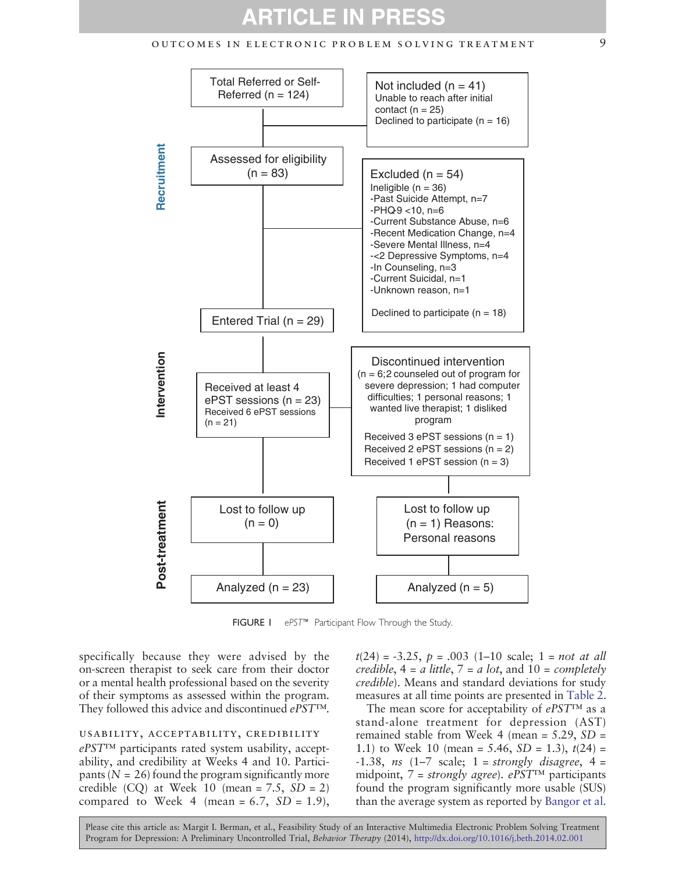#### outcomes in electronic problem solving treatment 9

<span id="page-9-0"></span>

FIGURE I ePST<sup>™</sup> Participant Flow Through the Study.

specifically because they were advised by the on-screen therapist to seek care from their doctor or a mental health professional based on the severity of their symptoms as assessed within the program. They followed this advice and discontinued ePST™.

#### usability, acceptability, credibility

ePST™ participants rated system usability, acceptability, and credibility at Weeks 4 and 10. Participants ( $N = 26$ ) found the program significantly more credible  $(CQ)$  at Week 10 (mean = 7.5,  $SD = 2$ ) compared to Week 4 (mean =  $6.7$ ,  $SD = 1.9$ ),  $t(24) = -3.25$ ,  $p = .003$  (1-10 scale; 1 = not at all credible,  $4 = a$  little,  $7 = a$  lot, and  $10 = completely$ credible). Means and standard deviations for study measures at all time points are presented in [Table 2](#page-10-0).

The mean score for acceptability of  $ePST^{TM}$  as a stand-alone treatment for depression (AST) remained stable from Week 4 (mean =  $5.29$ ,  $SD =$ 1.1) to Week 10 (mean = 5.46,  $SD = 1.3$ ),  $t(24) =$ -1.38, ns  $(1-7 \text{ scale}; 1 = strongly disagree, 4=$ midpoint,  $7 = strongly agree$ ).  $ePST<sup>TM</sup>$  participants found the program significantly more usable (SUS) than the average system as reported by [Bangor et al.](#page-16-0)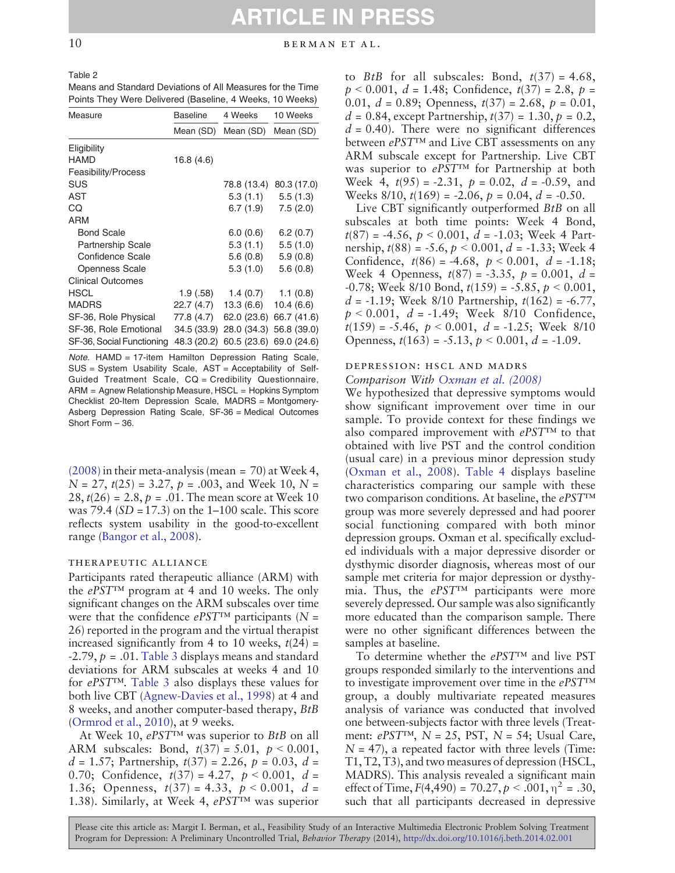#### <span id="page-10-0"></span>10 berman et al.

Table 2

Means and Standard Deviations of All Measures for the Time Points They Were Delivered (Baseline, 4 Weeks, 10 Weeks)

| Measure                    | <b>Baseline</b> | 4 Weeks     | 10 Weeks    |
|----------------------------|-----------------|-------------|-------------|
|                            | Mean (SD)       | Mean (SD)   | Mean (SD)   |
| Eligibility                |                 |             |             |
| <b>HAMD</b>                | 16.8 (4.6)      |             |             |
| <b>Feasibility/Process</b> |                 |             |             |
| SUS                        |                 | 78.8 (13.4) | 80.3 (17.0) |
| AST                        |                 | 5.3(1.1)    | 5.5(1.3)    |
| CQ                         |                 | 6.7 (1.9)   | 7.5(2.0)    |
| ARM                        |                 |             |             |
| <b>Bond Scale</b>          |                 | 6.0(0.6)    | 6.2(0.7)    |
| <b>Partnership Scale</b>   |                 | 5.3(1.1)    | 5.5(1.0)    |
| Confidence Scale           |                 | 5.6(0.8)    | 5.9(0.8)    |
| <b>Openness Scale</b>      |                 | 5.3(1.0)    | 5.6(0.8)    |
| <b>Clinical Outcomes</b>   |                 |             |             |
| HSCL                       | 1.9(0.58)       | 1.4(0.7)    | 1.1(0.8)    |
| <b>MADRS</b>               | 22.7 (4.7)      | 13.3 (6.6)  | 10.4(6.6)   |
| SF-36, Role Physical       | 77.8 (4.7)      | 62.0 (23.6) | 66.7 (41.6) |
| SF-36, Role Emotional      | 34.5 (33.9)     | 28.0 (34.3) | 56.8 (39.0) |
| SF-36, Social Functioning  | 48.3 (20.2)     | 60.5 (23.6) | 69.0 (24.6) |

Note. HAMD = 17-item Hamilton Depression Rating Scale, SUS = System Usability Scale, AST = Acceptability of Self-Guided Treatment Scale, CQ = Credibility Questionnaire, ARM = Agnew Relationship Measure, HSCL = Hopkins Symptom Checklist 20-Item Depression Scale, MADRS = Montgomery-Asberg Depression Rating Scale, SF-36 = Medical Outcomes Short Form – 36.

 $(2008)$  in their meta-analysis (mean = 70) at Week 4,  $N = 27$ ,  $t(25) = 3.27$ ,  $p = .003$ , and Week 10,  $N =$ 28,  $t(26) = 2.8$ ,  $p = .01$ . The mean score at Week 10 was 79.4 ( $SD = 17.3$ ) on the 1–100 scale. This score reflects system usability in the good-to-excellent range ([Bangor et al., 2008\)](#page-16-0).

#### therapeutic alliance

Participants rated therapeutic alliance (ARM) with the ePST™ program at 4 and 10 weeks. The only significant changes on the ARM subscales over time were that the confidence  $e$ PST<sup>TM</sup> participants (N = 26) reported in the program and the virtual therapist increased significantly from 4 to 10 weeks,  $t(24)$  =  $-2.79$ ,  $p = .01$ . [Table 3](#page-11-0) displays means and standard deviations for ARM subscales at weeks 4 and 10 for ePST™. [Table 3](#page-11-0) also displays these values for both live CBT [\(Agnew-Davies et al., 1998](#page-16-0)) at 4 and 8 weeks, and another computer-based therapy, BtB [\(Ormrod et al., 2010\)](#page-17-0), at 9 weeks.

At Week 10,  $e$ PST<sup>TM</sup> was superior to BtB on all ARM subscales: Bond,  $t(37) = 5.01$ ,  $p < 0.001$ ,  $d = 1.57$ ; Partnership,  $t(37) = 2.26$ ,  $p = 0.03$ ,  $d =$ 0.70; Confidence,  $t(37) = 4.27$ ,  $p < 0.001$ ,  $d =$ 1.36; Openness,  $t(37) = 4.33$ ,  $p < 0.001$ ,  $d =$ 1.38). Similarly, at Week 4, ePST™ was superior

to *BtB* for all subscales: Bond,  $t(37) = 4.68$ ,  $p < 0.001$ ,  $d = 1.48$ ; Confidence,  $t(37) = 2.8$ ,  $p =$ 0.01,  $d = 0.89$ ; Openness,  $t(37) = 2.68$ ,  $p = 0.01$ ,  $d = 0.84$ , except Partnership,  $t(37) = 1.30$ ,  $p = 0.2$ ,  $d = 0.40$ . There were no significant differences between ePST™ and Live CBT assessments on any ARM subscale except for Partnership. Live CBT was superior to ePST™ for Partnership at both Week 4,  $t(95) = -2.31$ ,  $p = 0.02$ ,  $d = -0.59$ , and Weeks  $8/10$ ,  $t(169) = -2.06$ ,  $p = 0.04$ ,  $d = -0.50$ .

Live CBT significantly outperformed *BtB* on all subscales at both time points: Week 4 Bond,  $t(87) = -4.56$ ,  $p < 0.001$ ,  $d = -1.03$ ; Week 4 Partnership,  $t(88) = -5.6$ ,  $p < 0.001$ ,  $d = -1.33$ ; Week 4 Confidence,  $t(86) = -4.68$ ,  $p < 0.001$ ,  $d = -1.18$ ; Week 4 Openness,  $t(87) = -3.35$ ,  $p = 0.001$ ,  $d =$  $-0.78$ ; Week 8/10 Bond,  $t(159) = -5.85$ ,  $p < 0.001$ ,  $d = -1.19$ ; Week 8/10 Partnership,  $t(162) = -6.77$ ,  $p < 0.001$ ,  $d = -1.49$ ; Week 8/10 Confidence,  $t(159) = -5.46$ ,  $p < 0.001$ ,  $d = -1.25$ ; Week 8/10 Openness,  $t(163) = -5.13$ ,  $p < 0.001$ ,  $d = -1.09$ .

#### depression: hscl and madrs Comparison With [Oxman et al. \(2008\)](#page-17-0)

We hypothesized that depressive symptoms would show significant improvement over time in our sample. To provide context for these findings we also compared improvement with ePST™ to that obtained with live PST and the control condition (usual care) in a previous minor depression study ([Oxman et al., 2008\)](#page-17-0). [Table 4](#page-11-0) displays baseline characteristics comparing our sample with these two comparison conditions. At baseline, the ePST™ group was more severely depressed and had poorer social functioning compared with both minor depression groups. Oxman et al. specifically excluded individuals with a major depressive disorder or dysthymic disorder diagnosis, whereas most of our sample met criteria for major depression or dysthymia. Thus, the ePST<sup>TM</sup> participants were more severely depressed. Our sample was also significantly more educated than the comparison sample. There were no other significant differences between the samples at baseline.

To determine whether the ePST™ and live PST groups responded similarly to the interventions and to investigate improvement over time in the  $ePST^{\text{TM}}$ group, a doubly multivariate repeated measures analysis of variance was conducted that involved one between-subjects factor with three levels (Treatment:  $ePST<sup>TM</sup>$ ,  $N = 25$ , PST,  $N = 54$ ; Usual Care,  $N = 47$ ), a repeated factor with three levels (Time: T1, T2, T3), and two measures of depression (HSCL, MADRS). This analysis revealed a significant main effect of Time,  $F(4,490) = 70.27, p < .001, \eta^2 = .30,$ such that all participants decreased in depressive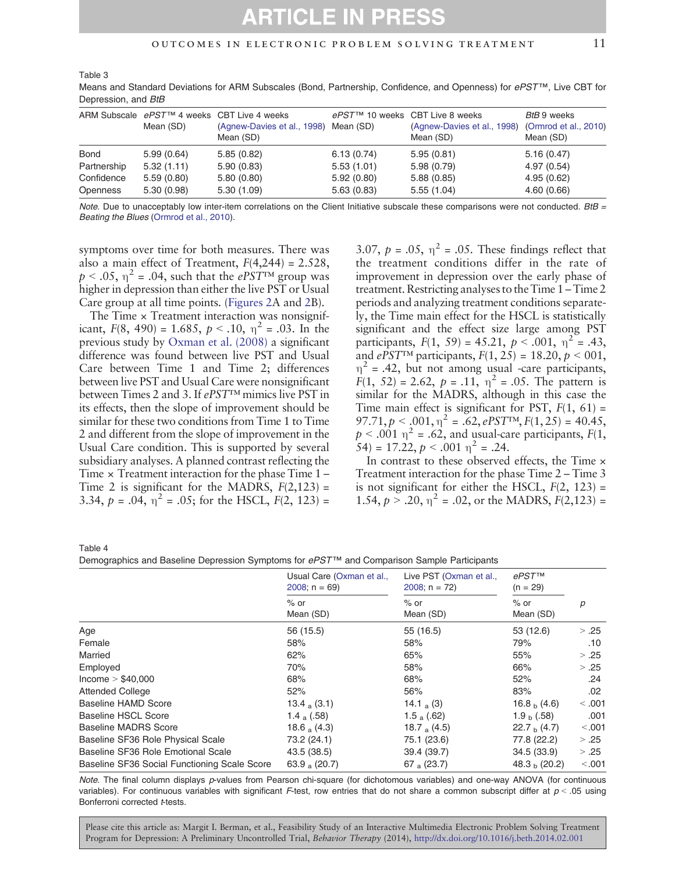<span id="page-11-0"></span>Table 3

Means and Standard Deviations for ARM Subscales (Bond, Partnership, Confidence, and Openness) for ePST<sup>™</sup>, Live CBT for Depression, and BtB

|                 | Mean (SD)  | ARM Subscale ePST™ 4 weeks CBT Live 4 weeks<br>(Agnew-Davies et al., 1998) Mean (SD)<br>Mean (SD) |            | ePST <sup>™</sup> 10 weeks CBT Live 8 weeks<br>(Agnew-Davies et al., 1998) (Ormrod et al., 2010)<br>Mean (SD) | BtB 9 weeks<br>Mean (SD) |
|-----------------|------------|---------------------------------------------------------------------------------------------------|------------|---------------------------------------------------------------------------------------------------------------|--------------------------|
| Bond            | 5.99(0.64) | 5.85(0.82)                                                                                        | 6.13(0.74) | 5.95(0.81)                                                                                                    | 5.16(0.47)               |
| Partnership     | 5.32(1.11) | 5.90(0.83)                                                                                        | 5.53(1.01) | 5.98(0.79)                                                                                                    | 4.97 (0.54)              |
| Confidence      | 5.59(0.80) | 5.80(0.80)                                                                                        | 5.92(0.80) | 5.88(0.85)                                                                                                    | 4.95(0.62)               |
| <b>Openness</b> | 5.30(0.98) | 5.30(1.09)                                                                                        | 5.63(0.83) | 5.55(1.04)                                                                                                    | 4.60(0.66)               |

Note. Due to unacceptably low inter-item correlations on the Client Initiative subscale these comparisons were not conducted. BtB = Beating the Blues ([Ormrod et al., 2010\)](#page-17-0).

symptoms over time for both measures. There was also a main effect of Treatment,  $F(4,244) = 2.528$ ,  $p < .05$ ,  $\eta^2 = .04$ , such that the *ePST*<sup>TM</sup> group was higher in depression than either the live PST or Usual Care group at all time points. ([Figures 2A](#page-12-0) and [2](#page-12-0)B).

The Time  $\times$  Treatment interaction was nonsignificant,  $F(8, 490) = 1.685$ ,  $p < .10$ ,  $\eta^2 = .03$ . In the previous study by [Oxman et al. \(2008\)](#page-17-0) a significant difference was found between live PST and Usual Care between Time 1 and Time 2; differences between live PST and Usual Care were nonsignificant between Times 2 and 3. If ePST™ mimics live PST in its effects, then the slope of improvement should be similar for these two conditions from Time 1 to Time 2 and different from the slope of improvement in the Usual Care condition. This is supported by several subsidiary analyses. A planned contrast reflecting the Time  $\times$  Treatment interaction for the phase Time 1 – Time 2 is significant for the MADRS,  $F(2,123) =$ 3.34,  $p = .04$ ,  $\eta^2 = .05$ ; for the HSCL,  $F(2, 123) =$ 

3.07,  $p = .05$ ,  $\eta^2 = .05$ . These findings reflect that the treatment conditions differ in the rate of improvement in depression over the early phase of treatment. Restricting analyses to the Time 1 –Time 2 periods and analyzing treatment conditions separately, the Time main effect for the HSCL is statistically significant and the effect size large among PST participants,  $F(1, 59) = 45.21, p < .001, \eta^2 = .43,$ and ePST<sup>TM</sup> participants,  $F(1, 25) = 18.20, p \le 001$ ,  $\eta^2$  = .42, but not among usual -care participants,  $F(1, 52) = 2.62, p = .11, \eta^2 = .05$ . The pattern is similar for the MADRS, although in this case the Time main effect is significant for PST,  $F(1, 61) =$ 97.71,  $p < .001$ ,  $\eta^2 = .62$ , ePST<sup>TM</sup>,  $F(1, 25) = 40.45$ ,  $p < .001$   $\eta^2 = .62$ , and usual-care participants,  $F(1,$ 54) = 17.22,  $p < .001$   $\eta^2$  = .24.

In contrast to these observed effects, the Time × Treatment interaction for the phase Time 2 – Time 3 is not significant for either the HSCL,  $F(2, 123) =$ 1.54,  $p > .20$ ,  $\eta^2 = .02$ , or the MADRS,  $F(2,123) =$ 

Table 4

Demographics and Baseline Depression Symptoms for  $e$ PST<sup>™</sup> and Comparison Sample Participants

| - -                                          | Usual Care (Oxman et al.,<br>2008; $n = 69$ | Live PST (Oxman et al.,<br>$2008$ ; $n = 72$ ) | $e$ PS $T^{\text{TM}}$<br>$(n = 29)$ | р       |
|----------------------------------------------|---------------------------------------------|------------------------------------------------|--------------------------------------|---------|
|                                              | $%$ or<br>Mean (SD)                         | $%$ or<br>Mean (SD)                            | $%$ or<br>Mean (SD)                  |         |
| Age                                          | 56 (15.5)                                   | 55 (16.5)                                      | 53 (12.6)                            | > .25   |
| Female                                       | 58%                                         | 58%                                            | 79%                                  | .10     |
| Married                                      | 62%                                         | 65%                                            | 55%                                  | > .25   |
| Employed                                     | 70%                                         | 58%                                            | 66%                                  | > .25   |
| Income $> $40,000$                           | 68%                                         | 68%                                            | 52%                                  | .24     |
| <b>Attended College</b>                      | 52%                                         | 56%                                            | 83%                                  | .02     |
| <b>Baseline HAMD Score</b>                   | 13.4 $_{\circ}$ (3.1)                       | 14.1 $_{\rm a}$ (3)                            | 16.8 $_{h}$ (4.6)                    | < 0.001 |
| <b>Baseline HSCL Score</b>                   | 1.4 $_2$ (.58)                              | 1.5 $_2$ (.62)                                 | 1.9 $_{h}$ (.58)                     | .001    |
| <b>Baseline MADRS Score</b>                  | 18.6 $_{a}$ (4.3)                           | 18.7 $_{a}$ (4.5)                              | 22.7 <sub>b</sub> (4.7)              | < 0.001 |
| Baseline SF36 Role Physical Scale            | 73.2 (24.1)                                 | 75.1 (23.6)                                    | 77.8 (22.2)                          | > .25   |
| Baseline SF36 Role Emotional Scale           | 43.5 (38.5)                                 | 39.4 (39.7)                                    | 34.5 (33.9)                          | > .25   |
| Baseline SF36 Social Functioning Scale Score | 63.9 $_{\circ}$ (20.7)                      | 67 (23.7)                                      | 48.3 $_b$ (20.2)                     | < 0.001 |

Note. The final column displays p-values from Pearson chi-square (for dichotomous variables) and one-way ANOVA (for continuous variables). For continuous variables with significant F-test, row entries that do not share a common subscript differ at  $p < 0.05$  using Bonferroni corrected t-tests.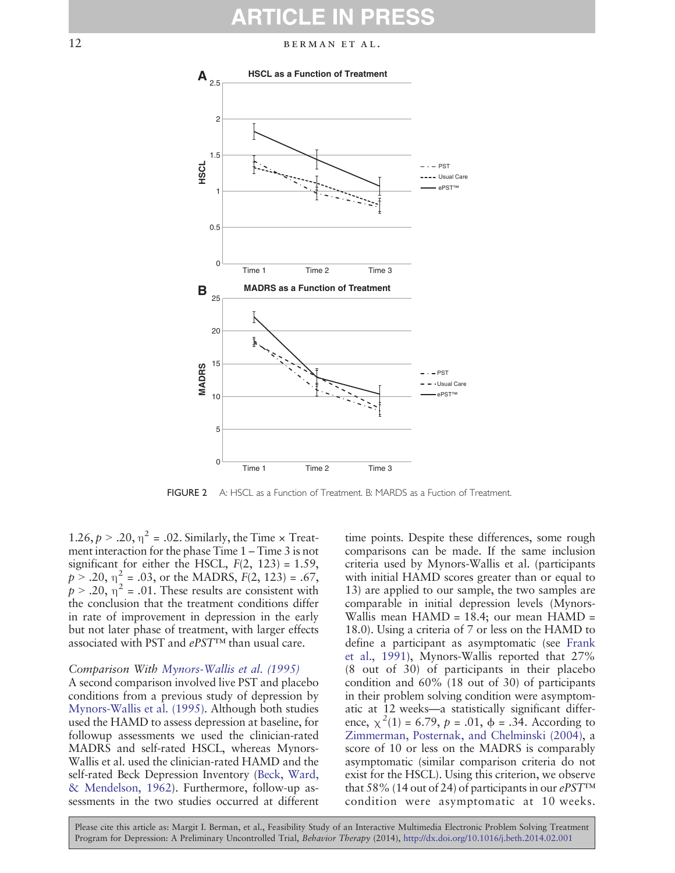#### <span id="page-12-0"></span>12 **berman et al. berman et al.**



FIGURE 2 A: HSCL as a Function of Treatment. B: MARDS as a Fuction of Treatment.

1.26,  $p > .20$ ,  $\eta^2 = .02$ . Similarly, the Time  $\times$  Treatment interaction for the phase Time 1 – Time 3 is not significant for either the HSCL,  $F(2, 123) = 1.59$ ,  $p > .20$ ,  $\eta^2 = .03$ , or the MADRS,  $F(2, 123) = .67$ ,  $p > .20$ ,  $\eta^2 = .01$ . These results are consistent with the conclusion that the treatment conditions differ in rate of improvement in depression in the early but not later phase of treatment, with larger effects associated with PST and ePST™ than usual care.

#### Comparison With [Mynors-Wallis et al. \(1995\)](#page-17-0)

A second comparison involved live PST and placebo conditions from a previous study of depression by [Mynors-Wallis et al. \(1995\)](#page-17-0). Although both studies used the HAMD to assess depression at baseline, for followup assessments we used the clinician-rated MADRS and self-rated HSCL, whereas Mynors-Wallis et al. used the clinician-rated HAMD and the self-rated Beck Depression Inventory ([Beck, Ward,](#page-16-0) [& Mendelson, 1962\)](#page-16-0). Furthermore, follow-up assessments in the two studies occurred at different time points. Despite these differences, some rough comparisons can be made. If the same inclusion criteria used by Mynors-Wallis et al. (participants with initial HAMD scores greater than or equal to 13) are applied to our sample, the two samples are comparable in initial depression levels (Mynors-Wallis mean HAMD = 18.4; our mean HAMD = 18.0). Using a criteria of 7 or less on the HAMD to define a participant as asymptomatic (see [Frank](#page-17-0) [et al., 1991\)](#page-17-0), Mynors-Wallis reported that 27% (8 out of 30) of participants in their placebo condition and 60% (18 out of 30) of participants in their problem solving condition were asymptomatic at 12 weeks—a statistically significant difference,  $\chi^2(1) = 6.79$ ,  $p = .01$ ,  $\phi = .34$ . According to [Zimmerman, Posternak, and Chelminski \(2004\)](#page-18-0), a score of 10 or less on the MADRS is comparably asymptomatic (similar comparison criteria do not exist for the HSCL). Using this criterion, we observe that 58% (14 out of 24) of participants in our  $ePST^{\text{TM}}$ condition were asymptomatic at 10 weeks.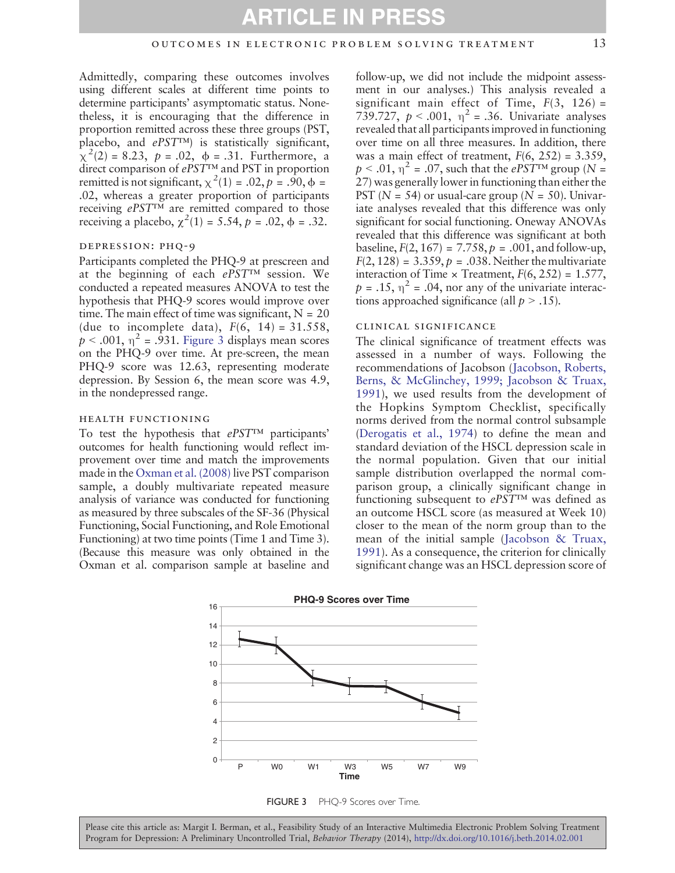Admittedly, comparing these outcomes involves using different scales at different time points to determine participants' asymptomatic status. Nonetheless, it is encouraging that the difference in proportion remitted across these three groups (PST, placebo, and ePST™) is statistically significant,  $\chi^2(2) = 8.23$ ,  $p = .02$ ,  $\phi = .31$ . Furthermore, a direct comparison of ePST™ and PST in proportion remitted is not significant,  $\chi^2(1) = .02$ ,  $p = .90$ ,  $\phi =$ .02, whereas a greater proportion of participants receiving ePST™ are remitted compared to those receiving a placebo,  $\chi^2(1) = 5.54$ ,  $p = .02$ ,  $\phi = .32$ .

#### depression: phq-9

Participants completed the PHQ-9 at prescreen and at the beginning of each ePST™ session. We conducted a repeated measures ANOVA to test the hypothesis that PHQ-9 scores would improve over time. The main effect of time was significant,  $N = 20$ (due to incomplete data),  $F(6, 14) = 31.558$ ,  $p < .001$ ,  $\eta^2 = .931$ . Figure 3 displays mean scores on the PHQ-9 over time. At pre-screen, the mean PHQ-9 score was 12.63, representing moderate depression. By Session 6, the mean score was 4.9, in the nondepressed range.

#### health functioning

To test the hypothesis that  $e$ PST<sup>IM</sup> participants' outcomes for health functioning would reflect improvement over time and match the improvements made in the [Oxman et al. \(2008\)](#page-17-0) live PST comparison sample, a doubly multivariate repeated measure analysis of variance was conducted for functioning as measured by three subscales of the SF-36 (Physical Functioning, Social Functioning, and Role Emotional Functioning) at two time points (Time 1 and Time 3). (Because this measure was only obtained in the Oxman et al. comparison sample at baseline and follow-up, we did not include the midpoint assessment in our analyses.) This analysis revealed a significant main effect of Time,  $F(3, 126) =$ 739.727,  $p < .001$ ,  $\eta^2 = .36$ . Univariate analyses revealed that all participants improved in functioning over time on all three measures. In addition, there was a main effect of treatment,  $F(6, 252) = 3.359$ ,  $p < .01$ ,  $\eta^2 = .07$ , such that the ePST<sup>TM</sup> group (N = 27) was generally lower in functioning than either the PST ( $N = 54$ ) or usual-care group ( $N = 50$ ). Univariate analyses revealed that this difference was only significant for social functioning. Oneway ANOVAs revealed that this difference was significant at both baseline,  $F(2, 167) = 7.758$ ,  $p = .001$ , and follow-up,  $F(2, 128) = 3.359, p = .038$ . Neither the multivariate interaction of Time  $\times$  Treatment,  $F(6, 252) = 1.577$ ,  $p = .15$ ,  $\eta^2 = .04$ , nor any of the univariate interactions approached significance (all  $p > .15$ ).

#### clinical significance

The clinical significance of treatment effects was assessed in a number of ways. Following the recommendations of Jacobson [\(Jacobson, Roberts,](#page-17-0) [Berns, & McGlinchey, 1999; Jacobson & Truax,](#page-17-0) [1991\)](#page-17-0), we used results from the development of the Hopkins Symptom Checklist, specifically norms derived from the normal control subsample [\(Derogatis et al., 1974\)](#page-16-0) to define the mean and standard deviation of the HSCL depression scale in the normal population. Given that our initial sample distribution overlapped the normal comparison group, a clinically significant change in functioning subsequent to ePST™ was defined as an outcome HSCL score (as measured at Week 10) closer to the mean of the norm group than to the mean of the initial sample ([Jacobson & Truax,](#page-17-0) [1991\)](#page-17-0). As a consequence, the criterion for clinically significant change was an HSCL depression score of



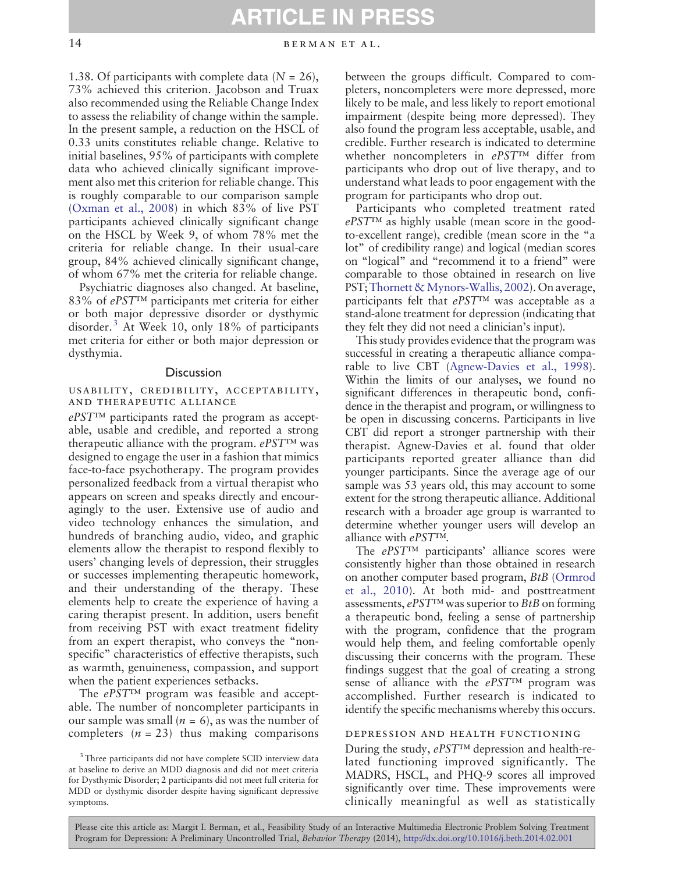#### 14 BERMAN ET AL.

1.38. Of participants with complete data ( $N = 26$ ), 73% achieved this criterion. Jacobson and Truax also recommended using the Reliable Change Index to assess the reliability of change within the sample. In the present sample, a reduction on the HSCL of 0.33 units constitutes reliable change. Relative to initial baselines, 95% of participants with complete data who achieved clinically significant improvement also met this criterion for reliable change. This is roughly comparable to our comparison sample [\(Oxman et al., 2008](#page-17-0)) in which 83% of live PST participants achieved clinically significant change on the HSCL by Week 9, of whom 78% met the criteria for reliable change. In their usual-care group, 84% achieved clinically significant change, of whom 67% met the criteria for reliable change.

Psychiatric diagnoses also changed. At baseline, 83% of ePST™ participants met criteria for either or both major depressive disorder or dysthymic disorder.<sup>3</sup> At Week 10, only 18% of participants met criteria for either or both major depression or dysthymia.

#### **Discussion**

#### usability, credibility, acceptability, and therapeutic alliance

ePST™ participants rated the program as acceptable, usable and credible, and reported a strong therapeutic alliance with the program.  $ePST^{TM}$  was designed to engage the user in a fashion that mimics face-to-face psychotherapy. The program provides personalized feedback from a virtual therapist who appears on screen and speaks directly and encouragingly to the user. Extensive use of audio and video technology enhances the simulation, and hundreds of branching audio, video, and graphic elements allow the therapist to respond flexibly to users' changing levels of depression, their struggles or successes implementing therapeutic homework, and their understanding of the therapy. These elements help to create the experience of having a caring therapist present. In addition, users benefit from receiving PST with exact treatment fidelity from an expert therapist, who conveys the "nonspecific" characteristics of effective therapists, such as warmth, genuineness, compassion, and support when the patient experiences setbacks.

The *ePST<sup>TM</sup>* program was feasible and acceptable. The number of noncompleter participants in our sample was small ( $n = 6$ ), as was the number of completers  $(n = 23)$  thus making comparisons

between the groups difficult. Compared to completers, noncompleters were more depressed, more likely to be male, and less likely to report emotional impairment (despite being more depressed). They also found the program less acceptable, usable, and credible. Further research is indicated to determine whether noncompleters in ePST<sup>TM</sup> differ from participants who drop out of live therapy, and to understand what leads to poor engagement with the program for participants who drop out.

Participants who completed treatment rated ePST™ as highly usable (mean score in the goodto-excellent range), credible (mean score in the "a lot" of credibility range) and logical (median scores on "logical" and "recommend it to a friend" were comparable to those obtained in research on live PST; Thornett & Mynors-Wallis, 2002). On average, participants felt that  $e$ PST<sup>TM</sup> was acceptable as a stand-alone treatment for depression (indicating that they felt they did not need a clinician's input).

This study provides evidence that the program was successful in creating a therapeutic alliance comparable to live CBT [\(Agnew-Davies et al., 1998](#page-16-0)). Within the limits of our analyses, we found no significant differences in therapeutic bond, confidence in the therapist and program, or willingness to be open in discussing concerns. Participants in live CBT did report a stronger partnership with their therapist. Agnew-Davies et al. found that older participants reported greater alliance than did younger participants. Since the average age of our sample was 53 years old, this may account to some extent for the strong therapeutic alliance. Additional research with a broader age group is warranted to determine whether younger users will develop an alliance with ePST™.

The ePST™ participants' alliance scores were consistently higher than those obtained in research on another computer based program, BtB [\(Ormrod](#page-17-0) [et al., 2010\)](#page-17-0). At both mid- and posttreatment assessments, ePST™ was superior to BtB on forming a therapeutic bond, feeling a sense of partnership with the program, confidence that the program would help them, and feeling comfortable openly discussing their concerns with the program. These findings suggest that the goal of creating a strong sense of alliance with the ePST<sup>TM</sup> program was accomplished. Further research is indicated to identify the specific mechanisms whereby this occurs.

#### depression and health functioning

During the study, ePST™ depression and health-related functioning improved significantly. The MADRS, HSCL, and PHQ-9 scores all improved significantly over time. These improvements were clinically meaningful as well as statistically

<sup>&</sup>lt;sup>3</sup> Three participants did not have complete SCID interview data at baseline to derive an MDD diagnosis and did not meet criteria for Dysthymic Disorder; 2 participants did not meet full criteria for MDD or dysthymic disorder despite having significant depressive symptoms.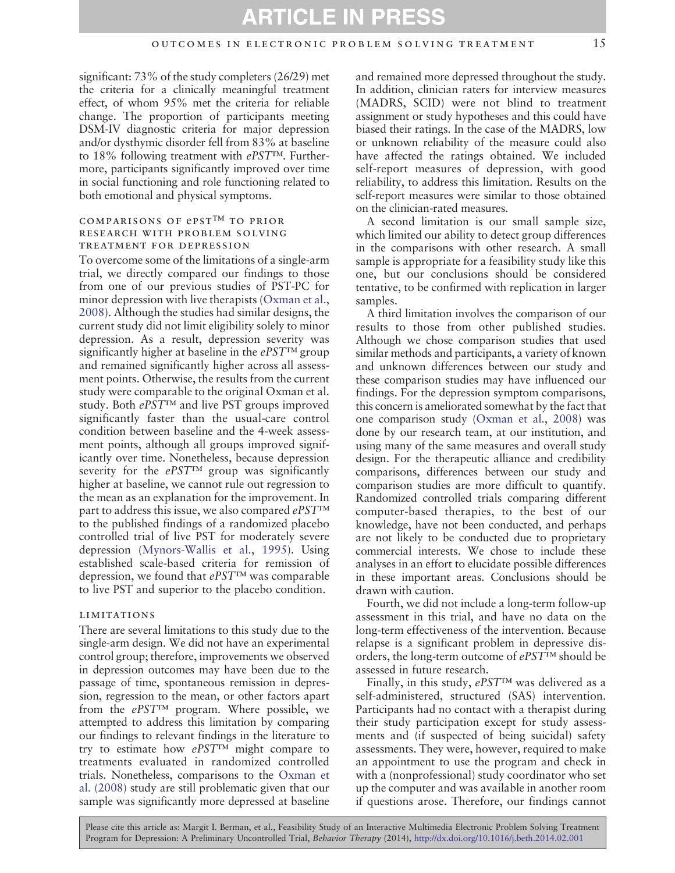significant: 73% of the study completers (26/29) met the criteria for a clinically meaningful treatment effect, of whom 95% met the criteria for reliable change. The proportion of participants meeting DSM-IV diagnostic criteria for major depression and/or dysthymic disorder fell from 83% at baseline to 18% following treatment with ePST™. Furthermore, participants significantly improved over time in social functioning and role functioning related to both emotional and physical symptoms.

#### comparisons of epst™ to prior research with problem solving treatment for depression

To overcome some of the limitations of a single-arm trial, we directly compared our findings to those from one of our previous studies of PST-PC for minor depression with live therapists ([Oxman et al.,](#page-17-0) [2008\)](#page-17-0). Although the studies had similar designs, the current study did not limit eligibility solely to minor depression. As a result, depression severity was significantly higher at baseline in the  $ePST^{TM}$  group and remained significantly higher across all assessment points. Otherwise, the results from the current study were comparable to the original Oxman et al. study. Both *ePST*™ and live PST groups improved significantly faster than the usual-care control condition between baseline and the 4-week assessment points, although all groups improved significantly over time. Nonetheless, because depression severity for the  $e$ PST<sup>TM</sup> group was significantly higher at baseline, we cannot rule out regression to the mean as an explanation for the improvement. In part to address this issue, we also compared  $ePST^{\text{TM}}$ to the published findings of a randomized placebo controlled trial of live PST for moderately severe depression ([Mynors-Wallis et al., 1995\)](#page-17-0). Using established scale-based criteria for remission of depression, we found that ePST™ was comparable to live PST and superior to the placebo condition.

#### limitations

There are several limitations to this study due to the single-arm design. We did not have an experimental control group; therefore, improvements we observed in depression outcomes may have been due to the passage of time, spontaneous remission in depression, regression to the mean, or other factors apart from the ePST™ program. Where possible, we attempted to address this limitation by comparing our findings to relevant findings in the literature to try to estimate how ePST™ might compare to treatments evaluated in randomized controlled trials. Nonetheless, comparisons to the [Oxman et](#page-17-0) [al. \(2008\)](#page-17-0) study are still problematic given that our sample was significantly more depressed at baseline and remained more depressed throughout the study. In addition, clinician raters for interview measures (MADRS, SCID) were not blind to treatment assignment or study hypotheses and this could have biased their ratings. In the case of the MADRS, low or unknown reliability of the measure could also have affected the ratings obtained. We included self-report measures of depression, with good reliability, to address this limitation. Results on the self-report measures were similar to those obtained on the clinician-rated measures.

A second limitation is our small sample size, which limited our ability to detect group differences in the comparisons with other research. A small sample is appropriate for a feasibility study like this one, but our conclusions should be considered tentative, to be confirmed with replication in larger samples.

A third limitation involves the comparison of our results to those from other published studies. Although we chose comparison studies that used similar methods and participants, a variety of known and unknown differences between our study and these comparison studies may have influenced our findings. For the depression symptom comparisons, this concern is ameliorated somewhat by the fact that one comparison study [\(Oxman et al., 2008\)](#page-17-0) was done by our research team, at our institution, and using many of the same measures and overall study design. For the therapeutic alliance and credibility comparisons, differences between our study and comparison studies are more difficult to quantify. Randomized controlled trials comparing different computer-based therapies, to the best of our knowledge, have not been conducted, and perhaps are not likely to be conducted due to proprietary commercial interests. We chose to include these analyses in an effort to elucidate possible differences in these important areas. Conclusions should be drawn with caution.

Fourth, we did not include a long-term follow-up assessment in this trial, and have no data on the long-term effectiveness of the intervention. Because relapse is a significant problem in depressive disorders, the long-term outcome of ePST™ should be assessed in future research.

Finally, in this study,  $e$ *PST<sup>IM</sup>* was delivered as a self-administered, structured (SAS) intervention. Participants had no contact with a therapist during their study participation except for study assessments and (if suspected of being suicidal) safety assessments. They were, however, required to make an appointment to use the program and check in with a (nonprofessional) study coordinator who set up the computer and was available in another room if questions arose. Therefore, our findings cannot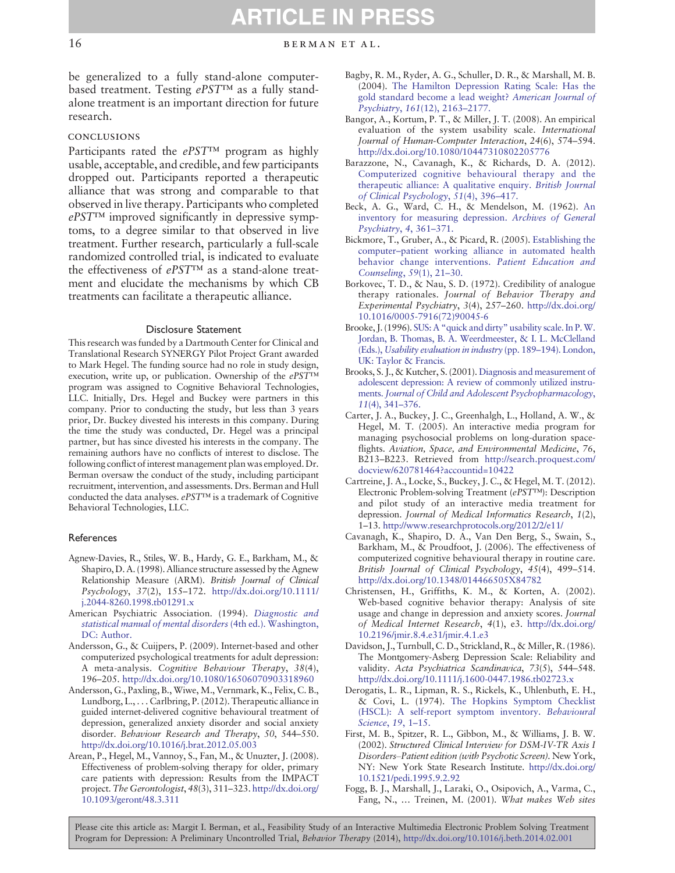#### <span id="page-16-0"></span>16 **berman et al. berman et al.**

be generalized to a fully stand-alone computerbased treatment. Testing ePST™ as a fully standalone treatment is an important direction for future research.

#### conclusions

Participants rated the *ePST*™ program as highly usable, acceptable, and credible, and few participants dropped out. Participants reported a therapeutic alliance that was strong and comparable to that observed in live therapy. Participants who completed ePST™ improved significantly in depressive symptoms, to a degree similar to that observed in live treatment. Further research, particularly a full-scale randomized controlled trial, is indicated to evaluate the effectiveness of ePST™ as a stand-alone treatment and elucidate the mechanisms by which CB treatments can facilitate a therapeutic alliance.

#### Disclosure Statement

This research was funded by a Dartmouth Center for Clinical and Translational Research SYNERGY Pilot Project Grant awarded to Mark Hegel. The funding source had no role in study design, execution, write up, or publication. Ownership of the ePST™ program was assigned to Cognitive Behavioral Technologies, LLC. Initially, Drs. Hegel and Buckey were partners in this company. Prior to conducting the study, but less than 3 years prior, Dr. Buckey divested his interests in this company. During the time the study was conducted, Dr. Hegel was a principal partner, but has since divested his interests in the company. The remaining authors have no conflicts of interest to disclose. The following conflict of interest management plan was employed. Dr. Berman oversaw the conduct of the study, including participant recruitment, intervention, and assessments. Drs. Berman and Hull conducted the data analyses. ePST™ is a trademark of Cognitive Behavioral Technologies, LLC.

#### **References**

- Agnew-Davies, R., Stiles, W. B., Hardy, G. E., Barkham, M., & Shapiro, D. A. (1998). Alliance structure assessed by the Agnew Relationship Measure (ARM). British Journal of Clinical Psychology, 37(2), 155–172. http://dx.doi.org/[10.1111/](http://dx.doi.org/10.1111/j.2044-8260.1998.tb01291.x) [j.2044-8260.1998.tb01291.x](http://dx.doi.org/10.1111/j.2044-8260.1998.tb01291.x)
- American Psychiatric Association. (1994). [Diagnostic and](http://refhub.elsevier.com/S0005-7894(14)00024-0/rf0010) [statistical manual of mental disorders](http://refhub.elsevier.com/S0005-7894(14)00024-0/rf0010) (4th ed.). Washington, [DC: Author.](http://refhub.elsevier.com/S0005-7894(14)00024-0/rf0010)
- Andersson, G., & Cuijpers, P. (2009). Internet-based and other computerized psychological treatments for adult depression: A meta-analysis. Cognitive Behaviour Therapy, 38(4), 196–205. http://dx.doi.org/[10.1080/16506070903318960](http://dx.doi.org/10.1080/16506070903318960)
- Andersson, G., Paxling, B., Wiwe, M., Vernmark, K., Felix, C. B., Lundborg, L., . . . Carlbring, P. (2012). Therapeutic alliance in guided internet-delivered cognitive behavioural treatment of depression, generalized anxiety disorder and social anxiety disorder. Behaviour Research and Therapy, 50, 544–550. http://dx.doi.org[/10.1016/j.brat.2012.05.003](http://dx.doi.org/10.1016/j.brat.2012.05.003)
- Arean, P., Hegel, M., Vannoy, S., Fan, M., & Unuzter, J. (2008). Effectiveness of problem-solving therapy for older, primary care patients with depression: Results from the IMPACT project. The Gerontologist, 48(3), 311–323. http://dx.doi.org/ [10.1093/geront/48.3.311](http://dx.doi.org/10.1093/geront/48.3.311)
- Bagby, R. M., Ryder, A. G., Schuller, D. R., & Marshall, M. B. (2004). [The Hamilton Depression Rating Scale: Has the](http://refhub.elsevier.com/S0005-7894(14)00024-0/rf0030) [gold standard become a lead weight?](http://refhub.elsevier.com/S0005-7894(14)00024-0/rf0030) American Journal of Psychiatry, 161[\(12\), 2163](http://refhub.elsevier.com/S0005-7894(14)00024-0/rf0030)–2177.
- Bangor, A., Kortum, P. T., & Miller, J. T. (2008). An empirical evaluation of the system usability scale. International Journal of Human-Computer Interaction, 24(6), 574–594. http://dx.doi.org/[10.1080/10447310802205776](http://dx.doi.org/10.1080/10447310802205776)
- Barazzone, N., Cavanagh, K., & Richards, D. A. (2012). [Computerized cognitive behavioural therapy and the](http://refhub.elsevier.com/S0005-7894(14)00024-0/rf0040) [therapeutic alliance: A qualitative enquiry.](http://refhub.elsevier.com/S0005-7894(14)00024-0/rf0040) British Journal [of Clinical Psychology](http://refhub.elsevier.com/S0005-7894(14)00024-0/rf0040), 51(4), 396–417.
- Beck, A. G., Ward, C. H., & Mendelson, M. (1962). [An](http://refhub.elsevier.com/S0005-7894(14)00024-0/rf0045) [inventory for measuring depression.](http://refhub.elsevier.com/S0005-7894(14)00024-0/rf0045) Archives of General [Psychiatry](http://refhub.elsevier.com/S0005-7894(14)00024-0/rf0045), 4, 361–371.
- Bickmore, T., Gruber, A., & Picard, R. (2005). [Establishing the](http://refhub.elsevier.com/S0005-7894(14)00024-0/rf0050) computer–[patient working alliance in automated health](http://refhub.elsevier.com/S0005-7894(14)00024-0/rf0050) [behavior change interventions.](http://refhub.elsevier.com/S0005-7894(14)00024-0/rf0050) Patient Education and [Counseling](http://refhub.elsevier.com/S0005-7894(14)00024-0/rf0050), 59(1), 21–30.
- Borkovec, T. D., & Nau, S. D. (1972). Credibility of analogue therapy rationales. Journal of Behavior Therapy and Experimental Psychiatry, 3(4), 257–260. http://dx.doi.org/ [10.1016/0005-7916\(72\)90045-6](http://dx.doi.org/10.1016/0005-7916(72)90045-6)
- Brooke, J. (1996). SUS: A "quick and dirty" [usability scale. In P.W.](http://refhub.elsevier.com/S0005-7894(14)00024-0/rf0060) [Jordan, B. Thomas, B. A. Weerdmeester, & I. L. McClelland](http://refhub.elsevier.com/S0005-7894(14)00024-0/rf0060) (Eds.), [Usability evaluation in industry](http://refhub.elsevier.com/S0005-7894(14)00024-0/rf0060) (pp. 189–194). London, [UK: Taylor & Francis.](http://refhub.elsevier.com/S0005-7894(14)00024-0/rf0060)
- Brooks, S. J., & Kutcher, S. (2001). [Diagnosis and measurement of](http://refhub.elsevier.com/S0005-7894(14)00024-0/rf0065) [adolescent depression: A review of commonly utilized instru](http://refhub.elsevier.com/S0005-7894(14)00024-0/rf0065)ments. [Journal of Child and Adolescent Psychopharmacology](http://refhub.elsevier.com/S0005-7894(14)00024-0/rf0065), 11[\(4\), 341](http://refhub.elsevier.com/S0005-7894(14)00024-0/rf0065)–376.
- Carter, J. A., Buckey, J. C., Greenhalgh, L., Holland, A. W., & Hegel, M. T. (2005). An interactive media program for managing psychosocial problems on long-duration spaceflights. Aviation, Space, and Environmental Medicine, 76, B213–B223. Retrieved from [http://search.proquest.com/](http://search.proquest.com/docview/620781464?accountid=10422) [docview/620781464?accountid=10422](http://search.proquest.com/docview/620781464?accountid=10422)
- Cartreine, J. A., Locke, S., Buckey, J. C., & Hegel, M. T. (2012). Electronic Problem-solving Treatment (ePST™): Description and pilot study of an interactive media treatment for depression. Journal of Medical Informatics Research, 1(2), 1–13. <http://www.researchprotocols.org/2012/2/e11/>
- Cavanagh, K., Shapiro, D. A., Van Den Berg, S., Swain, S., Barkham, M., & Proudfoot, J. (2006). The effectiveness of computerized cognitive behavioural therapy in routine care. British Journal of Clinical Psychology, 45(4), 499–514. http://dx.doi.org/[10.1348/014466505X84782](http://dx.doi.org/10.1348/014466505X84782)
- Christensen, H., Griffiths, K. M., & Korten, A. (2002). Web-based cognitive behavior therapy: Analysis of site usage and change in depression and anxiety scores. Journal of Medical Internet Research, 4(1), e3. http://dx.doi.org/ [10.2196/jmir.8.4.e31/jmir.4.1.e3](http://dx.doi.org/10.2196/jmir.8.4.e31/jmir.4.1.e3)
- Davidson, J., Turnbull, C. D., Strickland, R., & Miller, R. (1986). The Montgomery-Asberg Depression Scale: Reliability and validity. Acta Psychiatrica Scandinavica, 73(5), 544–548. http://dx.doi.org[/10.1111/j.1600-0447.1986.tb02723.x](http://dx.doi.org/10.1111/j.1600-0447.1986.tb02723.x)
- Derogatis, L. R., Lipman, R. S., Rickels, K., Uhlenbuth, E. H., & Covi, L. (1974). [The Hopkins Symptom Checklist](http://refhub.elsevier.com/S0005-7894(14)00024-0/rf0095) [\(HSCL\): A self-report symptom inventory.](http://refhub.elsevier.com/S0005-7894(14)00024-0/rf0095) Behavioural [Science](http://refhub.elsevier.com/S0005-7894(14)00024-0/rf0095), 19, 1–15.
- First, M. B., Spitzer, R. L., Gibbon, M., & Williams, J. B. W. (2002). Structured Clinical Interview for DSM-IV-TR Axis I Disorders–Patient edition (with Psychotic Screen). New York, NY: New York State Research Institute. http://dx.doi.org/ [10.1521/pedi.1995.9.2.92](http://dx.doi.org/10.1521/pedi.1995.9.2.92)
- Fogg, B. J., Marshall, J., Laraki, O., Osipovich, A., Varma, C., Fang, N., … Treinen, M. (2001). What makes Web sites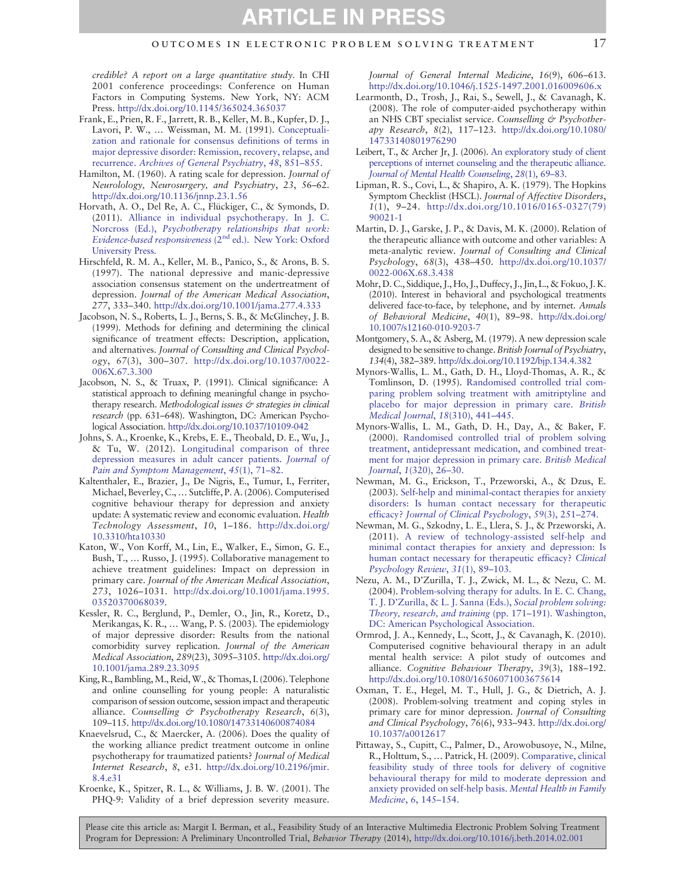#### outcomes in electronic problem solving treatment 17

<span id="page-17-0"></span>credible? A report on a large quantitative study. In CHI 2001 conference proceedings: Conference on Human Factors in Computing Systems. New York, NY: ACM Press. http://dx.doi.org[/10.1145/365024.365037](http://dx.doi.org/10.1145/365024.365037)

- Frank, E., Prien, R. F., Jarrett, R. B., Keller, M. B., Kupfer, D. J., Lavori, P. W., … Weissman, M. M. (1991). [Conceptuali](http://refhub.elsevier.com/S0005-7894(14)00024-0/rf0110)[zation and rationale for consensus definitions of terms in](http://refhub.elsevier.com/S0005-7894(14)00024-0/rf0110) [major depressive disorder: Remission, recovery, relapse, and](http://refhub.elsevier.com/S0005-7894(14)00024-0/rf0110) recurrence. [Archives of General Psychiatry](http://refhub.elsevier.com/S0005-7894(14)00024-0/rf0110), 48, 851–855.
- Hamilton, M. (1960). A rating scale for depression. Journal of Neurolology, Neurosurgery, and Psychiatry, 23, 56–62. http://dx.doi.org[/10.1136/jnnp.23.1.56](http://dx.doi.org/10.1136/jnnp.23.1.56)
- Horvath, A. O., Del Re, A. C., Flückiger, C., & Symonds, D. (2011). [Alliance in individual psychotherapy. In J. C.](http://refhub.elsevier.com/S0005-7894(14)00024-0/rf0120) Norcross (Ed.), [Psychotherapy relationships that work:](http://refhub.elsevier.com/S0005-7894(14)00024-0/rf0120) [Evidence-based responsiveness](http://refhub.elsevier.com/S0005-7894(14)00024-0/rf0120) (2<sup>nd</sup> [ed.\). New York: Oxford](http://refhub.elsevier.com/S0005-7894(14)00024-0/rf0120) [University Press.](http://refhub.elsevier.com/S0005-7894(14)00024-0/rf0120)
- Hirschfeld, R. M. A., Keller, M. B., Panico, S., & Arons, B. S. (1997). The national depressive and manic-depressive association consensus statement on the undertreatment of depression. Journal of the American Medical Association, 277, 333–340. http://dx.doi.org[/10.1001/jama.277.4.333](http://dx.doi.org/10.1001/jama.277.4.333)
- Jacobson, N. S., Roberts, L. J., Berns, S. B., & McGlinchey, J. B. (1999). Methods for defining and determining the clinical significance of treatment effects: Description, application, and alternatives. Journal of Consulting and Clinical Psychology, 67(3), 300–307. http://dx.doi.org/[10.1037/0022-](http://dx.doi.org/10.1037/0022-006X.67.3.300) [006X.67.3.300](http://dx.doi.org/10.1037/0022-006X.67.3.300)
- Jacobson, N. S., & Truax, P. (1991). Clinical significance: A statistical approach to defining meaningful change in psychotherapy research. Methodological issues & strategies in clinical research (pp. 631–648). Washington, DC: American Psychological Association. http://dx.doi.org/[10.1037/10109-042](http://dx.doi.org/10.1037/10109-042)
- Johns, S. A., Kroenke, K., Krebs, E. E., Theobald, D. E., Wu, J., & Tu, W. (2012). [Longitudinal comparison of three](http://refhub.elsevier.com/S0005-7894(14)00024-0/rf0140) [depression measures in adult cancer patients.](http://refhub.elsevier.com/S0005-7894(14)00024-0/rf0140) Journal of [Pain and Symptom Management](http://refhub.elsevier.com/S0005-7894(14)00024-0/rf0140), 45(1), 71–82.
- Kaltenthaler, E., Brazier, J., De Nigris, E., Tumur, I., Ferriter, Michael, Beverley, C., … Sutcliffe, P. A. (2006). Computerised cognitive behaviour therapy for depression and anxiety update: A systematic review and economic evaluation. Health Technology Assessment, 10, 1–186. http://dx.doi.org/ [10.3310/hta10330](http://dx.doi.org/10.3310/hta10330)
- Katon, W., Von Korff, M., Lin, E., Walker, E., Simon, G. E., Bush, T., … Russo, J. (1995). Collaborative management to achieve treatment guidelines: Impact on depression in primary care. Journal of the American Medical Association, 273, 1026–1031. http://dx.doi.org[/10.1001/jama.1995.](http://dx.doi.org/10.1001/jama.1995.03520370068039) [03520370068039](http://dx.doi.org/10.1001/jama.1995.03520370068039).
- Kessler, R. C., Berglund, P., Demler, O., Jin, R., Koretz, D., Merikangas, K. R., … Wang, P. S. (2003). The epidemiology of major depressive disorder: Results from the national comorbidity survey replication. Journal of the American Medical Association, 289(23), 3095–3105. http://dx.doi.org/ [10.1001/jama.289.23.3095](http://dx.doi.org/10.1001/jama.289.23.3095)
- King, R., Bambling,M., Reid,W., & Thomas, I. (2006). Telephone and online counselling for young people: A naturalistic comparison of session outcome, session impact and therapeutic alliance. Counselling  $\circ$  Psychotherapy Research, 6(3), 109–115. http://dx.doi.org[/10.1080/14733140600874084](http://dx.doi.org/10.1080/14733140600874084)
- Knaevelsrud, C., & Maercker, A. (2006). Does the quality of the working alliance predict treatment outcome in online psychotherapy for traumatized patients? Journal of Medical Internet Research, 8, e31. http://dx.doi.org[/10.2196/jmir.](http://dx.doi.org/10.2196/jmir.8.4.e31) [8.4.e31](http://dx.doi.org/10.2196/jmir.8.4.e31)
- Kroenke, K., Spitzer, R. L., & Williams, J. B. W. (2001). The PHQ-9: Validity of a brief depression severity measure.

Journal of General Internal Medicine, 16(9), 606–613. http://dx.doi.org/[10.1046/j.1525-1497.2001.016009606.x](http://dx.doi.org/10.1046/j.1525-1497.2001.016009606.x)

- Learmonth, D., Trosh, J., Rai, S., Sewell, J., & Cavanagh, K. (2008). The role of computer-aided psychotherapy within an NHS CBT specialist service. Counselling  $\circ$  Psychotherapy Research, 8(2), 117–123. http://dx.doi.org[/10.1080/](http://dx.doi.org/10.1080/14733140801976290) [14733140801976290](http://dx.doi.org/10.1080/14733140801976290)
- Leibert, T., & Archer Jr, J. (2006). [An exploratory study of client](http://refhub.elsevier.com/S0005-7894(14)00024-0/rf0180) [perceptions of internet counseling and the therapeutic alliance.](http://refhub.elsevier.com/S0005-7894(14)00024-0/rf0180) [Journal of Mental Health Counseling](http://refhub.elsevier.com/S0005-7894(14)00024-0/rf0180), 28(1), 69–83.
- Lipman, R. S., Covi, L., & Shapiro, A. K. (1979). The Hopkins Symptom Checklist (HSCL). Journal of Affective Disorders, 1(1), 9–24. http://dx.doi.org[/10.1016/0165-0327\(79\)](http://dx.doi.org/10.1016/0165-0327(79)90021-1) [90021-1](http://dx.doi.org/10.1016/0165-0327(79)90021-1)
- Martin, D. J., Garske, J. P., & Davis, M. K. (2000). Relation of the therapeutic alliance with outcome and other variables: A meta-analytic review. Journal of Consulting and Clinical Psychology, 68(3), 438–450. http://dx.doi.org/[10.1037/](http://dx.doi.org/10.1037/0022-006X.68.3.438) [0022-006X.68.3.438](http://dx.doi.org/10.1037/0022-006X.68.3.438)
- Mohr, D. C., Siddique, J., Ho, J., Duffecy, J., Jin, L., & Fokuo, J. K. (2010). Interest in behavioral and psychological treatments delivered face-to-face, by telephone, and by internet. Annals of Behavioral Medicine, 40(1), 89–98. http://dx.doi.org/ [10.1007/s12160-010-9203-7](http://dx.doi.org/10.1007/s12160-010-9203-7)
- Montgomery, S. A., & Asberg, M. (1979). A new depression scale designed to be sensitive to change. British Journal of Psychiatry, 134(4), 382–389. http://dx.doi.org/[10.1192/bjp.134.4.382](http://dx.doi.org/10.1192/bjp.134.4.382)
- Mynors-Wallis, L. M., Gath, D. H., Lloyd-Thomas, A. R., & Tomlinson, D. (1995). [Randomised controlled trial com](http://refhub.elsevier.com/S0005-7894(14)00024-0/rf0205)[paring problem solving treatment with amitriptyline and](http://refhub.elsevier.com/S0005-7894(14)00024-0/rf0205) [placebo for major depression in primary care.](http://refhub.elsevier.com/S0005-7894(14)00024-0/rf0205) British [Medical Journal](http://refhub.elsevier.com/S0005-7894(14)00024-0/rf0205), 18(310), 441–445.
- Mynors-Wallis, L. M., Gath, D. H., Day, A., & Baker, F. (2000). [Randomised controlled trial of problem solving](http://refhub.elsevier.com/S0005-7894(14)00024-0/rf0210) [treatment, antidepressant medication, and combined treat](http://refhub.elsevier.com/S0005-7894(14)00024-0/rf0210)[ment for major depression in primary care.](http://refhub.elsevier.com/S0005-7894(14)00024-0/rf0210) British Medical Journal, 1[\(320\), 26](http://refhub.elsevier.com/S0005-7894(14)00024-0/rf0210)–30.
- Newman, M. G., Erickson, T., Przeworski, A., & Dzus, E. (2003). Self‐help and minimal‐[contact therapies for anxiety](http://refhub.elsevier.com/S0005-7894(14)00024-0/rf0215) [disorders: Is human contact necessary for therapeutic](http://refhub.elsevier.com/S0005-7894(14)00024-0/rf0215) efficacy? [Journal of Clinical Psychology](http://refhub.elsevier.com/S0005-7894(14)00024-0/rf0215), 59(3), 251–274.
- Newman, M. G., Szkodny, L. E., Llera, S. J., & Przeworski, A. (2011). [A review of technology-assisted self-help and](http://refhub.elsevier.com/S0005-7894(14)00024-0/rf0220) [minimal contact therapies for anxiety and depression: Is](http://refhub.elsevier.com/S0005-7894(14)00024-0/rf0220) [human contact necessary for therapeutic efficacy?](http://refhub.elsevier.com/S0005-7894(14)00024-0/rf0220) Clinical [Psychology Review](http://refhub.elsevier.com/S0005-7894(14)00024-0/rf0220), 31(1), 89–103.
- Nezu, A. M., D'Zurilla, T. J., Zwick, M. L., & Nezu, C. M. (2004). [Problem-solving therapy for adults. In E. C. Chang,](http://refhub.elsevier.com/S0005-7894(14)00024-0/rf0225) T. J. D'[Zurilla, & L. J. Sanna \(Eds.\),](http://refhub.elsevier.com/S0005-7894(14)00024-0/rf0225) Social problem solving: [Theory, research, and training](http://refhub.elsevier.com/S0005-7894(14)00024-0/rf0225) (pp. 171–191). Washington, [DC: American Psychological Association](http://refhub.elsevier.com/S0005-7894(14)00024-0/rf0225).
- Ormrod, J. A., Kennedy, L., Scott, J., & Cavanagh, K. (2010). Computerised cognitive behavioural therapy in an adult mental health service: A pilot study of outcomes and alliance. Cognitive Behaviour Therapy, 39(3), 188–192. http://dx.doi.org/[10.1080/16506071003675614](http://dx.doi.org/10.1080/16506071003675614)
- Oxman, T. E., Hegel, M. T., Hull, J. G., & Dietrich, A. J. (2008). Problem-solving treatment and coping styles in primary care for minor depression. Journal of Consulting and Clinical Psychology, 76(6), 933–943. http://dx.doi.org/ [10.1037/a0012617](http://dx.doi.org/10.1037/a0012617)
- Pittaway, S., Cupitt, C., Palmer, D., Arowobusoye, N., Milne, R., Holttum, S., … Patrick, H. (2009). [Comparative, clinical](http://refhub.elsevier.com/S0005-7894(14)00024-0/rf0240) [feasibility study of three tools for delivery of cognitive](http://refhub.elsevier.com/S0005-7894(14)00024-0/rf0240) [behavioural therapy for mild to moderate depression and](http://refhub.elsevier.com/S0005-7894(14)00024-0/rf0240) [anxiety provided on self-help basis.](http://refhub.elsevier.com/S0005-7894(14)00024-0/rf0240) Mental Health in Family [Medicine](http://refhub.elsevier.com/S0005-7894(14)00024-0/rf0240), 6, 145–154.